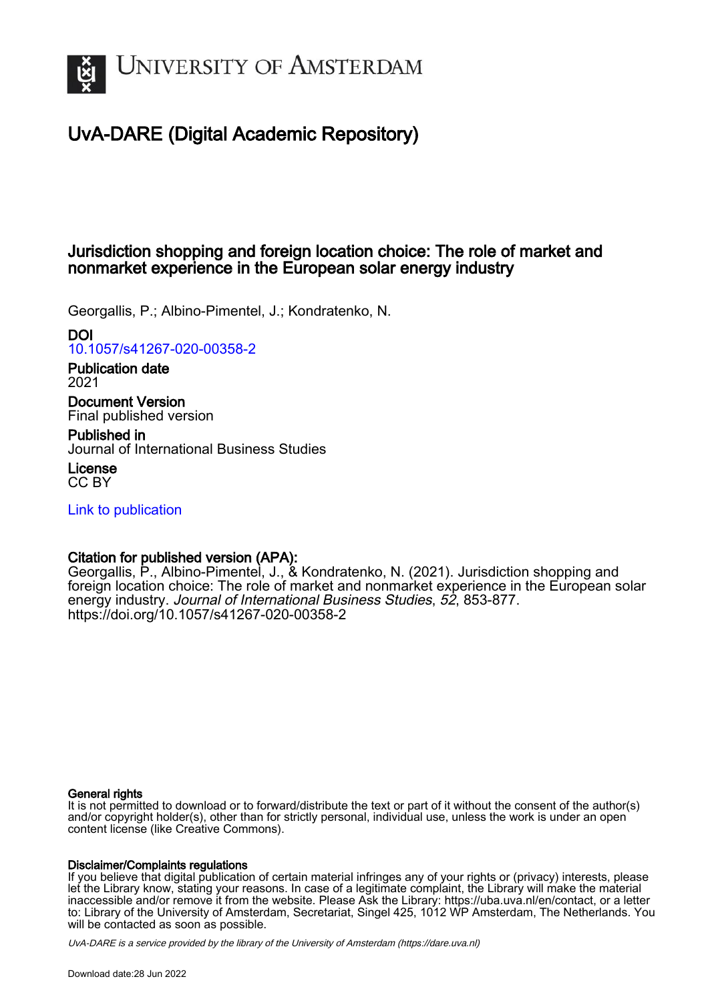

## UvA-DARE (Digital Academic Repository)

## Jurisdiction shopping and foreign location choice: The role of market and nonmarket experience in the European solar energy industry

Georgallis, P.; Albino-Pimentel, J.; Kondratenko, N.

## DOI

[10.1057/s41267-020-00358-2](https://doi.org/10.1057/s41267-020-00358-2)

Publication date 2021

Document Version Final published version

Published in Journal of International Business Studies

License CC BY

[Link to publication](https://dare.uva.nl/personal/pure/en/publications/jurisdiction-shopping-and-foreign-location-choice-the-role-of-market-and-nonmarket-experience-in-the-european-solar-energy-industry(745b918f-88bd-4af3-8f26-100128506149).html)

## Citation for published version (APA):

Georgallis, P., Albino-Pimentel, J., & Kondratenko, N. (2021). Jurisdiction shopping and foreign location choice: The role of market and nonmarket experience in the European solar energy industry. Journal of International Business Studies, 52, 853-877. <https://doi.org/10.1057/s41267-020-00358-2>

#### General rights

It is not permitted to download or to forward/distribute the text or part of it without the consent of the author(s) and/or copyright holder(s), other than for strictly personal, individual use, unless the work is under an open content license (like Creative Commons).

#### Disclaimer/Complaints regulations

If you believe that digital publication of certain material infringes any of your rights or (privacy) interests, please let the Library know, stating your reasons. In case of a legitimate complaint, the Library will make the material inaccessible and/or remove it from the website. Please Ask the Library: https://uba.uva.nl/en/contact, or a letter to: Library of the University of Amsterdam, Secretariat, Singel 425, 1012 WP Amsterdam, The Netherlands. You will be contacted as soon as possible.

UvA-DARE is a service provided by the library of the University of Amsterdam (http*s*://dare.uva.nl)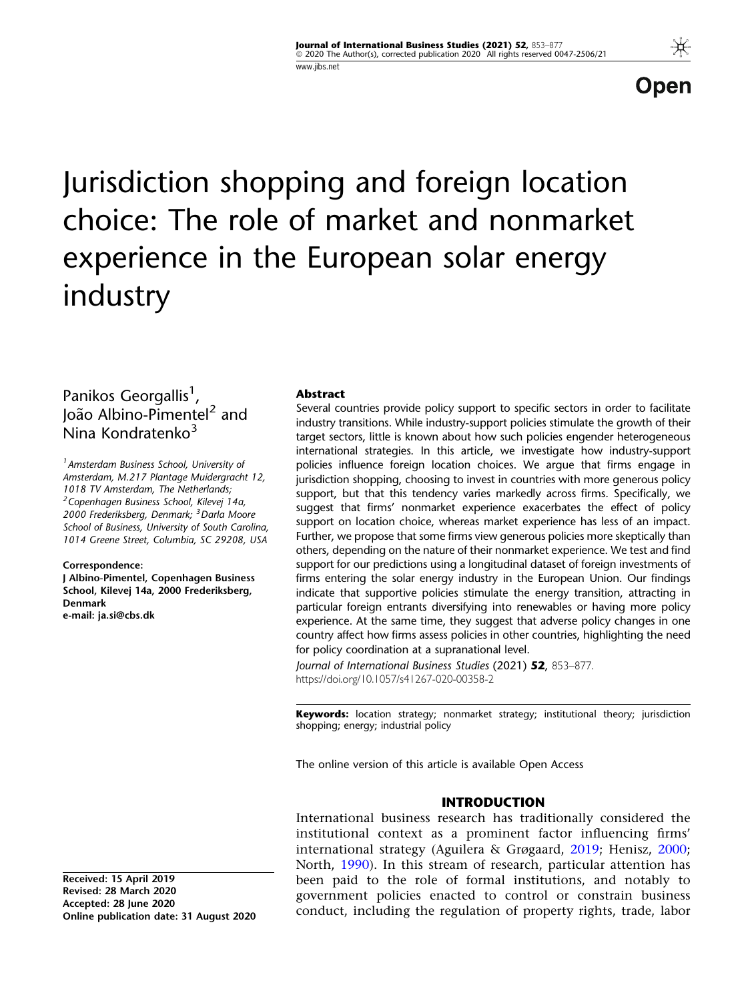Open

# Jurisdiction shopping and foreign location choice: The role of market and nonmarket experience in the European solar energy industry

## Panikos Georgallis<sup>1</sup>, João Albino-Pimentel<sup>2</sup> and Nina Kondratenko<sup>3</sup>

<sup>1</sup> Amsterdam Business School, University of Amsterdam, M.217 Plantage Muidergracht 12, 1018 TV Amsterdam, The Netherlands; <sup>2</sup> Copenhagen Business School, Kilevej 14a, 2000 Frederiksberg, Denmark; <sup>3</sup> Darla Moore School of Business, University of South Carolina, 1014 Greene Street, Columbia, SC 29208, USA

#### Correspondence:

J Albino-Pimentel, Copenhagen Business School, Kilevej 14a, 2000 Frederiksberg, Denmark e-mail: ja.si@cbs.dk

Received: 15 April 2019 Revised: 28 March 2020 Accepted: 28 June 2020 Online publication date: 31 August 2020

#### Abstract

Several countries provide policy support to specific sectors in order to facilitate industry transitions. While industry-support policies stimulate the growth of their target sectors, little is known about how such policies engender heterogeneous international strategies. In this article, we investigate how industry-support policies influence foreign location choices. We argue that firms engage in jurisdiction shopping, choosing to invest in countries with more generous policy support, but that this tendency varies markedly across firms. Specifically, we suggest that firms' nonmarket experience exacerbates the effect of policy support on location choice, whereas market experience has less of an impact. Further, we propose that some firms view generous policies more skeptically than others, depending on the nature of their nonmarket experience. We test and find support for our predictions using a longitudinal dataset of foreign investments of firms entering the solar energy industry in the European Union. Our findings indicate that supportive policies stimulate the energy transition, attracting in particular foreign entrants diversifying into renewables or having more policy experience. At the same time, they suggest that adverse policy changes in one country affect how firms assess policies in other countries, highlighting the need for policy coordination at a supranational level.

Journal of International Business Studies (2021) 52, 853–877. https://doi.org/10.1057/s41267-020-00358-2

Keywords: location strategy; nonmarket strategy; institutional theory; jurisdiction shopping; energy; industrial policy

The online version of this article is available Open Access

#### INTRODUCTION

International business research has traditionally considered the institutional context as a prominent factor influencing firms' international strategy (Aguilera & Grøgaard, [2019;](#page-22-0) Henisz, [2000;](#page-23-0) North, [1990\)](#page-24-0). In this stream of research, particular attention has been paid to the role of formal institutions, and notably to government policies enacted to control or constrain business conduct, including the regulation of property rights, trade, labor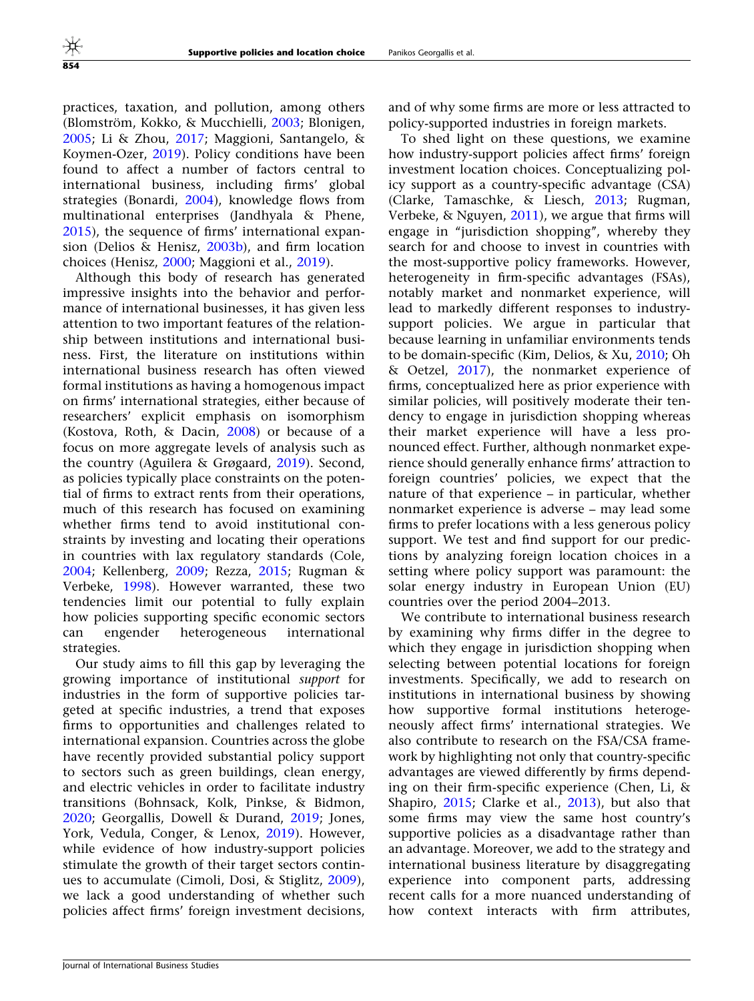practices, taxation, and pollution, among others (Blomström, Kokko, & Mucchielli, [2003](#page-22-0); Blonigen, [2005;](#page-22-0) Li & Zhou, [2017;](#page-24-0) Maggioni, Santangelo, & Koymen-Ozer, [2019](#page-24-0)). Policy conditions have been found to affect a number of factors central to international business, including firms' global strategies (Bonardi, [2004](#page-22-0)), knowledge flows from multinational enterprises (Jandhyala & Phene, [2015\)](#page-24-0), the sequence of firms' international expansion (Delios & Henisz, [2003b](#page-23-0)), and firm location choices (Henisz, [2000](#page-23-0); Maggioni et al., [2019](#page-24-0)).

Although this body of research has generated impressive insights into the behavior and performance of international businesses, it has given less attention to two important features of the relationship between institutions and international business. First, the literature on institutions within international business research has often viewed formal institutions as having a homogenous impact on firms' international strategies, either because of researchers' explicit emphasis on isomorphism (Kostova, Roth, & Dacin, [2008](#page-24-0)) or because of a focus on more aggregate levels of analysis such as the country (Aguilera & Grøgaard, [2019\)](#page-22-0). Second, as policies typically place constraints on the potential of firms to extract rents from their operations, much of this research has focused on examining whether firms tend to avoid institutional constraints by investing and locating their operations in countries with lax regulatory standards (Cole, [2004;](#page-23-0) Kellenberg, [2009;](#page-24-0) Rezza, [2015](#page-24-0); Rugman & Verbeke, [1998\)](#page-24-0). However warranted, these two tendencies limit our potential to fully explain how policies supporting specific economic sectors can engender heterogeneous international strategies.

Our study aims to fill this gap by leveraging the growing importance of institutional support for industries in the form of supportive policies targeted at specific industries, a trend that exposes firms to opportunities and challenges related to international expansion. Countries across the globe have recently provided substantial policy support to sectors such as green buildings, clean energy, and electric vehicles in order to facilitate industry transitions (Bohnsack, Kolk, Pinkse, & Bidmon, [2020;](#page-22-0) Georgallis, Dowell & Durand, [2019](#page-23-0); Jones, York, Vedula, Conger, & Lenox, [2019](#page-24-0)). However, while evidence of how industry-support policies stimulate the growth of their target sectors continues to accumulate (Cimoli, Dosi, & Stiglitz, [2009\)](#page-23-0), we lack a good understanding of whether such policies affect firms' foreign investment decisions,

and of why some firms are more or less attracted to policy-supported industries in foreign markets.

To shed light on these questions, we examine how industry-support policies affect firms' foreign investment location choices. Conceptualizing policy support as a country-specific advantage (CSA) (Clarke, Tamaschke, & Liesch, [2013;](#page-23-0) Rugman, Verbeke, & Nguyen, [2011](#page-24-0)), we argue that firms will engage in "jurisdiction shopping", whereby they search for and choose to invest in countries with the most-supportive policy frameworks. However, heterogeneity in firm-specific advantages (FSAs), notably market and nonmarket experience, will lead to markedly different responses to industrysupport policies. We argue in particular that because learning in unfamiliar environments tends to be domain-specific (Kim, Delios, & Xu, [2010](#page-24-0); Oh & Oetzel, [2017](#page-24-0)), the nonmarket experience of firms, conceptualized here as prior experience with similar policies, will positively moderate their tendency to engage in jurisdiction shopping whereas their market experience will have a less pronounced effect. Further, although nonmarket experience should generally enhance firms' attraction to foreign countries' policies, we expect that the nature of that experience – in particular, whether nonmarket experience is adverse – may lead some firms to prefer locations with a less generous policy support. We test and find support for our predictions by analyzing foreign location choices in a setting where policy support was paramount: the solar energy industry in European Union (EU) countries over the period 2004–2013.

We contribute to international business research by examining why firms differ in the degree to which they engage in jurisdiction shopping when selecting between potential locations for foreign investments. Specifically, we add to research on institutions in international business by showing how supportive formal institutions heterogeneously affect firms' international strategies. We also contribute to research on the FSA/CSA framework by highlighting not only that country-specific advantages are viewed differently by firms depending on their firm-specific experience (Chen, Li, & Shapiro, [2015](#page-23-0); Clarke et al., [2013](#page-23-0)), but also that some firms may view the same host country's supportive policies as a disadvantage rather than an advantage. Moreover, we add to the strategy and international business literature by disaggregating experience into component parts, addressing recent calls for a more nuanced understanding of how context interacts with firm attributes,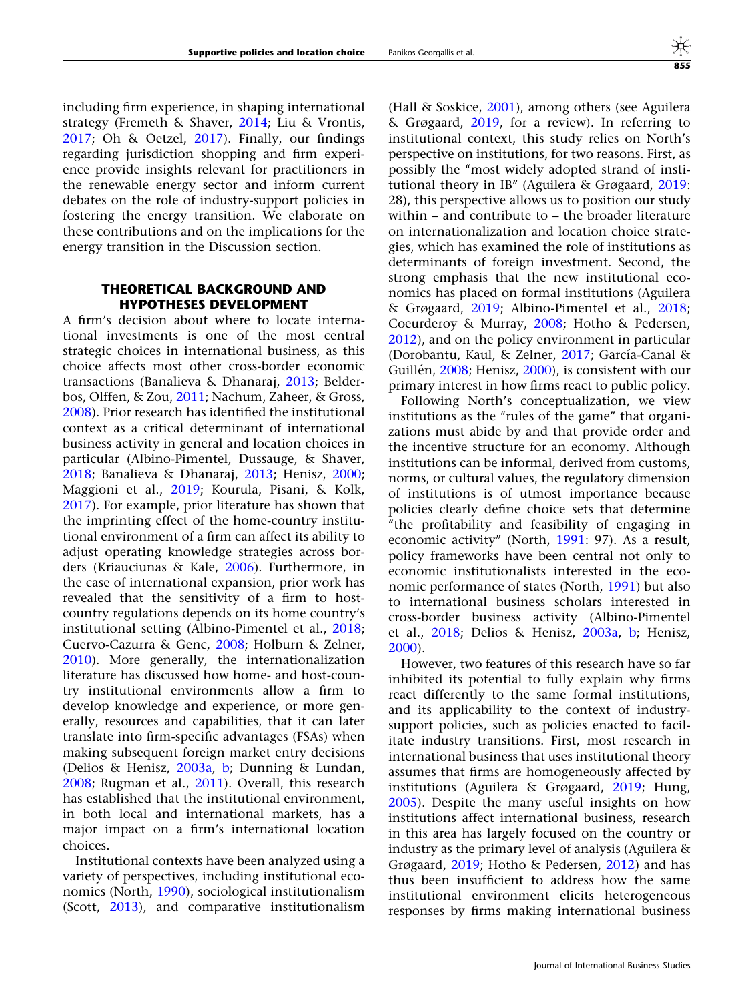including firm experience, in shaping international strategy (Fremeth & Shaver, [2014](#page-23-0); Liu & Vrontis, [2017;](#page-24-0) Oh & Oetzel, [2017](#page-24-0)). Finally, our findings regarding jurisdiction shopping and firm experience provide insights relevant for practitioners in the renewable energy sector and inform current debates on the role of industry-support policies in fostering the energy transition. We elaborate on these contributions and on the implications for the energy transition in the Discussion section.

#### THEORETICAL BACKGROUND AND HYPOTHESES DEVELOPMENT

A firm's decision about where to locate international investments is one of the most central strategic choices in international business, as this choice affects most other cross-border economic transactions (Banalieva & Dhanaraj, [2013;](#page-22-0) Belderbos, Olffen, & Zou, [2011](#page-22-0); Nachum, Zaheer, & Gross, [2008\)](#page-24-0). Prior research has identified the institutional context as a critical determinant of international business activity in general and location choices in particular (Albino-Pimentel, Dussauge, & Shaver, [2018;](#page-22-0) Banalieva & Dhanaraj, [2013;](#page-22-0) Henisz, [2000;](#page-23-0) Maggioni et al., [2019](#page-24-0); Kourula, Pisani, & Kolk, [2017\)](#page-24-0). For example, prior literature has shown that the imprinting effect of the home-country institutional environment of a firm can affect its ability to adjust operating knowledge strategies across borders (Kriauciunas & Kale, [2006\)](#page-24-0). Furthermore, in the case of international expansion, prior work has revealed that the sensitivity of a firm to hostcountry regulations depends on its home country's institutional setting (Albino-Pimentel et al., [2018;](#page-22-0) Cuervo-Cazurra & Genc, [2008](#page-23-0); Holburn & Zelner, [2010\)](#page-23-0). More generally, the internationalization literature has discussed how home- and host-country institutional environments allow a firm to develop knowledge and experience, or more generally, resources and capabilities, that it can later translate into firm-specific advantages (FSAs) when making subsequent foreign market entry decisions (Delios & Henisz, [2003a,](#page-23-0) [b](#page-23-0); Dunning & Lundan, [2008;](#page-23-0) Rugman et al., [2011\)](#page-24-0). Overall, this research has established that the institutional environment, in both local and international markets, has a major impact on a firm's international location choices.

Institutional contexts have been analyzed using a variety of perspectives, including institutional economics (North, [1990\)](#page-24-0), sociological institutionalism (Scott, [2013\)](#page-25-0), and comparative institutionalism

(Hall & Soskice, [2001\)](#page-23-0), among others (see Aguilera & Grøgaard, [2019,](#page-22-0) for a review). In referring to institutional context, this study relies on North's perspective on institutions, for two reasons. First, as possibly the ''most widely adopted strand of institutional theory in IB'' (Aguilera & Grøgaard, [2019:](#page-22-0) 28), this perspective allows us to position our study within – and contribute to – the broader literature on internationalization and location choice strategies, which has examined the role of institutions as determinants of foreign investment. Second, the strong emphasis that the new institutional economics has placed on formal institutions (Aguilera & Grøgaard, [2019](#page-22-0); Albino-Pimentel et al., [2018;](#page-22-0) Coeurderoy & Murray, [2008;](#page-23-0) Hotho & Pedersen, [2012\)](#page-24-0), and on the policy environment in particular (Dorobantu, Kaul, & Zelner, [2017;](#page-23-0) García-Canal & Guillén, [2008](#page-23-0); Henisz, [2000](#page-23-0)), is consistent with our primary interest in how firms react to public policy.

Following North's conceptualization, we view institutions as the "rules of the game" that organizations must abide by and that provide order and the incentive structure for an economy. Although institutions can be informal, derived from customs, norms, or cultural values, the regulatory dimension of institutions is of utmost importance because policies clearly define choice sets that determine ''the profitability and feasibility of engaging in economic activity'' (North, [1991](#page-24-0): 97). As a result, policy frameworks have been central not only to economic institutionalists interested in the economic performance of states (North, [1991\)](#page-24-0) but also to international business scholars interested in cross-border business activity (Albino-Pimentel et al., [2018;](#page-22-0) Delios & Henisz, [2003a](#page-23-0), [b;](#page-23-0) Henisz, [2000\)](#page-23-0).

However, two features of this research have so far inhibited its potential to fully explain why firms react differently to the same formal institutions, and its applicability to the context of industrysupport policies, such as policies enacted to facilitate industry transitions. First, most research in international business that uses institutional theory assumes that firms are homogeneously affected by institutions (Aguilera & Grøgaard, [2019;](#page-22-0) Hung, [2005\)](#page-24-0). Despite the many useful insights on how institutions affect international business, research in this area has largely focused on the country or industry as the primary level of analysis (Aguilera & Grøgaard, [2019](#page-22-0); Hotho & Pedersen, [2012\)](#page-24-0) and has thus been insufficient to address how the same institutional environment elicits heterogeneous responses by firms making international business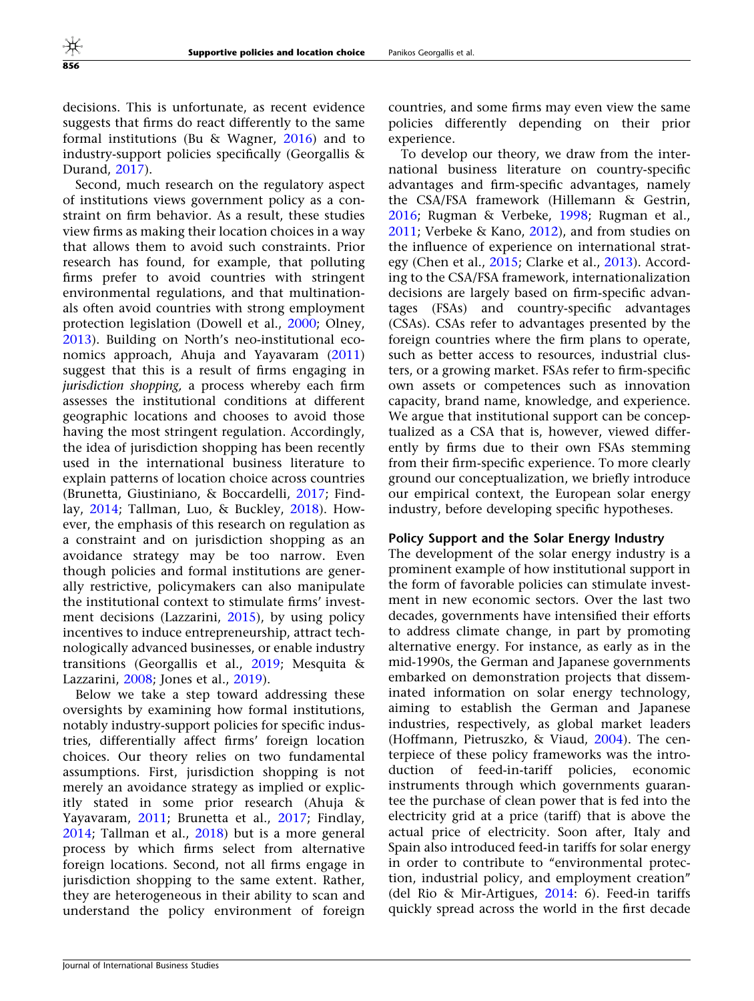decisions. This is unfortunate, as recent evidence suggests that firms do react differently to the same formal institutions (Bu & Wagner, [2016\)](#page-22-0) and to industry-support policies specifically (Georgallis & Durand, [2017](#page-23-0)).

Second, much research on the regulatory aspect of institutions views government policy as a constraint on firm behavior. As a result, these studies view firms as making their location choices in a way that allows them to avoid such constraints. Prior research has found, for example, that polluting firms prefer to avoid countries with stringent environmental regulations, and that multinationals often avoid countries with strong employment protection legislation (Dowell et al., [2000](#page-23-0); Olney, [2013\)](#page-24-0). Building on North's neo-institutional economics approach, Ahuja and Yayavaram ([2011\)](#page-22-0) suggest that this is a result of firms engaging in jurisdiction shopping, a process whereby each firm assesses the institutional conditions at different geographic locations and chooses to avoid those having the most stringent regulation. Accordingly, the idea of jurisdiction shopping has been recently used in the international business literature to explain patterns of location choice across countries (Brunetta, Giustiniano, & Boccardelli, [2017;](#page-22-0) Findlay, [2014;](#page-23-0) Tallman, Luo, & Buckley, [2018](#page-25-0)). However, the emphasis of this research on regulation as a constraint and on jurisdiction shopping as an avoidance strategy may be too narrow. Even though policies and formal institutions are generally restrictive, policymakers can also manipulate the institutional context to stimulate firms' investment decisions (Lazzarini, [2015\)](#page-24-0), by using policy incentives to induce entrepreneurship, attract technologically advanced businesses, or enable industry transitions (Georgallis et al., [2019](#page-23-0); Mesquita & Lazzarini, [2008;](#page-24-0) Jones et al., [2019](#page-24-0)).

Below we take a step toward addressing these oversights by examining how formal institutions, notably industry-support policies for specific industries, differentially affect firms' foreign location choices. Our theory relies on two fundamental assumptions. First, jurisdiction shopping is not merely an avoidance strategy as implied or explicitly stated in some prior research (Ahuja & Yayavaram, [2011;](#page-22-0) Brunetta et al., [2017;](#page-22-0) Findlay, [2014;](#page-23-0) Tallman et al., [2018](#page-25-0)) but is a more general process by which firms select from alternative foreign locations. Second, not all firms engage in jurisdiction shopping to the same extent. Rather, they are heterogeneous in their ability to scan and understand the policy environment of foreign

countries, and some firms may even view the same policies differently depending on their prior experience.

To develop our theory, we draw from the international business literature on country-specific advantages and firm-specific advantages, namely the CSA/FSA framework (Hillemann & Gestrin, [2016;](#page-23-0) Rugman & Verbeke, [1998;](#page-24-0) Rugman et al., [2011;](#page-24-0) Verbeke & Kano, [2012](#page-25-0)), and from studies on the influence of experience on international strategy (Chen et al., [2015;](#page-23-0) Clarke et al., [2013](#page-23-0)). According to the CSA/FSA framework, internationalization decisions are largely based on firm-specific advantages (FSAs) and country-specific advantages (CSAs). CSAs refer to advantages presented by the foreign countries where the firm plans to operate, such as better access to resources, industrial clusters, or a growing market. FSAs refer to firm-specific own assets or competences such as innovation capacity, brand name, knowledge, and experience. We argue that institutional support can be conceptualized as a CSA that is, however, viewed differently by firms due to their own FSAs stemming from their firm-specific experience. To more clearly ground our conceptualization, we briefly introduce our empirical context, the European solar energy industry, before developing specific hypotheses.

#### Policy Support and the Solar Energy Industry

The development of the solar energy industry is a prominent example of how institutional support in the form of favorable policies can stimulate investment in new economic sectors. Over the last two decades, governments have intensified their efforts to address climate change, in part by promoting alternative energy. For instance, as early as in the mid-1990s, the German and Japanese governments embarked on demonstration projects that disseminated information on solar energy technology, aiming to establish the German and Japanese industries, respectively, as global market leaders (Hoffmann, Pietruszko, & Viaud, [2004](#page-23-0)). The centerpiece of these policy frameworks was the introduction of feed-in-tariff policies, economic instruments through which governments guarantee the purchase of clean power that is fed into the electricity grid at a price (tariff) that is above the actual price of electricity. Soon after, Italy and Spain also introduced feed-in tariffs for solar energy in order to contribute to "environmental protection, industrial policy, and employment creation'' (del Rio & Mir-Artigues, [2014](#page-23-0): 6). Feed-in tariffs quickly spread across the world in the first decade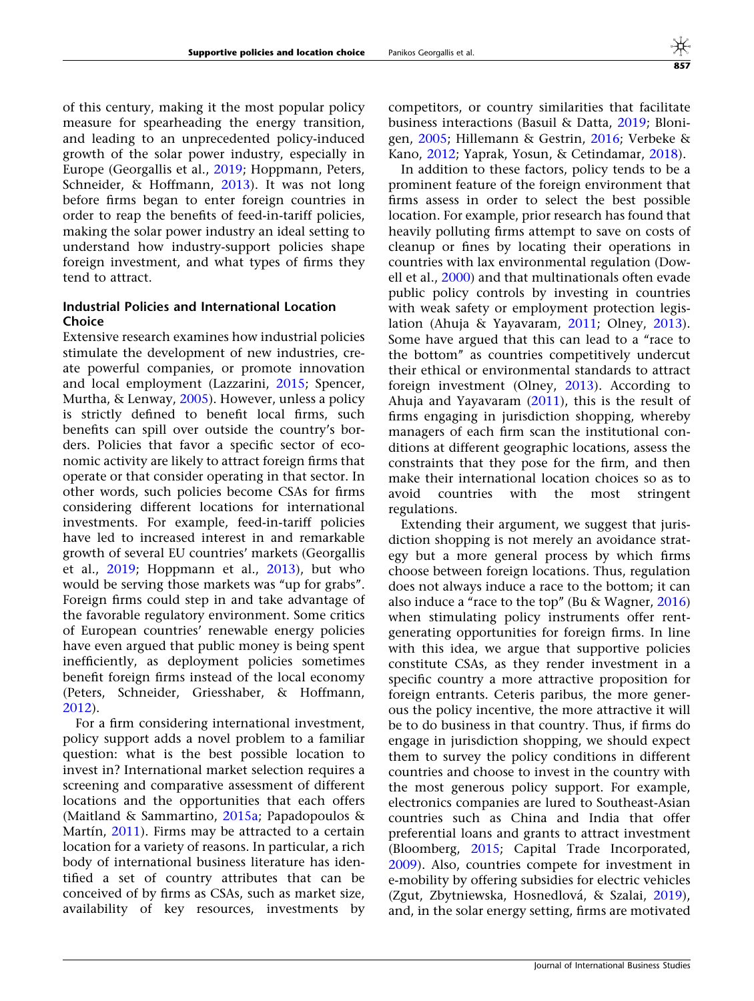of this century, making it the most popular policy measure for spearheading the energy transition, and leading to an unprecedented policy-induced growth of the solar power industry, especially in Europe (Georgallis et al., [2019;](#page-23-0) Hoppmann, Peters, Schneider, & Hoffmann, [2013\)](#page-24-0). It was not long before firms began to enter foreign countries in order to reap the benefits of feed-in-tariff policies, making the solar power industry an ideal setting to understand how industry-support policies shape foreign investment, and what types of firms they tend to attract.

#### Industrial Policies and International Location **Choice**

Extensive research examines how industrial policies stimulate the development of new industries, create powerful companies, or promote innovation and local employment (Lazzarini, [2015](#page-24-0); Spencer, Murtha, & Lenway, [2005\)](#page-25-0). However, unless a policy is strictly defined to benefit local firms, such benefits can spill over outside the country's borders. Policies that favor a specific sector of economic activity are likely to attract foreign firms that operate or that consider operating in that sector. In other words, such policies become CSAs for firms considering different locations for international investments. For example, feed-in-tariff policies have led to increased interest in and remarkable growth of several EU countries' markets (Georgallis et al., [2019](#page-23-0); Hoppmann et al., [2013\)](#page-24-0), but who would be serving those markets was "up for grabs". Foreign firms could step in and take advantage of the favorable regulatory environment. Some critics of European countries' renewable energy policies have even argued that public money is being spent inefficiently, as deployment policies sometimes benefit foreign firms instead of the local economy (Peters, Schneider, Griesshaber, & Hoffmann, [2012\)](#page-24-0).

For a firm considering international investment, policy support adds a novel problem to a familiar question: what is the best possible location to invest in? International market selection requires a screening and comparative assessment of different locations and the opportunities that each offers (Maitland & Sammartino, [2015a](#page-24-0); Papadopoulos & Martín,  $2011$ ). Firms may be attracted to a certain location for a variety of reasons. In particular, a rich body of international business literature has identified a set of country attributes that can be conceived of by firms as CSAs, such as market size, availability of key resources, investments by

competitors, or country similarities that facilitate business interactions (Basuil & Datta, [2019;](#page-22-0) Blonigen, [2005](#page-22-0); Hillemann & Gestrin, [2016;](#page-23-0) Verbeke & Kano, [2012](#page-25-0); Yaprak, Yosun, & Cetindamar, [2018\)](#page-25-0).

In addition to these factors, policy tends to be a prominent feature of the foreign environment that firms assess in order to select the best possible location. For example, prior research has found that heavily polluting firms attempt to save on costs of cleanup or fines by locating their operations in countries with lax environmental regulation (Dowell et al., [2000\)](#page-23-0) and that multinationals often evade public policy controls by investing in countries with weak safety or employment protection legislation (Ahuja & Yayavaram, [2011;](#page-22-0) Olney, [2013](#page-24-0)). Some have argued that this can lead to a "race to the bottom'' as countries competitively undercut their ethical or environmental standards to attract foreign investment (Olney, [2013](#page-24-0)). According to Ahuja and Yayavaram  $(2011)$  $(2011)$ , this is the result of firms engaging in jurisdiction shopping, whereby managers of each firm scan the institutional conditions at different geographic locations, assess the constraints that they pose for the firm, and then make their international location choices so as to avoid countries with the most stringent regulations.

Extending their argument, we suggest that jurisdiction shopping is not merely an avoidance strategy but a more general process by which firms choose between foreign locations. Thus, regulation does not always induce a race to the bottom; it can also induce a "race to the top" (Bu & Wagner, [2016](#page-22-0)) when stimulating policy instruments offer rentgenerating opportunities for foreign firms. In line with this idea, we argue that supportive policies constitute CSAs, as they render investment in a specific country a more attractive proposition for foreign entrants. Ceteris paribus, the more generous the policy incentive, the more attractive it will be to do business in that country. Thus, if firms do engage in jurisdiction shopping, we should expect them to survey the policy conditions in different countries and choose to invest in the country with the most generous policy support. For example, electronics companies are lured to Southeast-Asian countries such as China and India that offer preferential loans and grants to attract investment (Bloomberg, [2015](#page-22-0); Capital Trade Incorporated, [2009\)](#page-22-0). Also, countries compete for investment in e-mobility by offering subsidies for electric vehicles (Zgut, Zbytniewska, Hosnedlová, & Szalai, [2019](#page-25-0)), and, in the solar energy setting, firms are motivated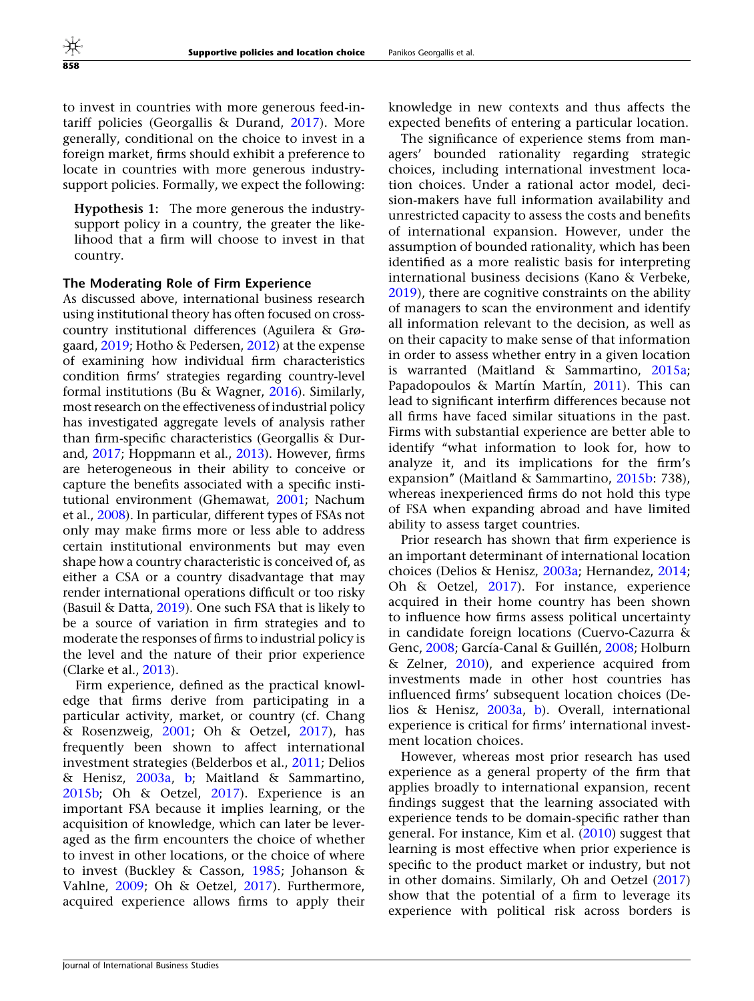to invest in countries with more generous feed-intariff policies (Georgallis & Durand, [2017\)](#page-23-0). More generally, conditional on the choice to invest in a foreign market, firms should exhibit a preference to locate in countries with more generous industrysupport policies. Formally, we expect the following:

Hypothesis 1: The more generous the industrysupport policy in a country, the greater the likelihood that a firm will choose to invest in that country.

#### The Moderating Role of Firm Experience

As discussed above, international business research using institutional theory has often focused on crosscountry institutional differences (Aguilera & Grøgaard, [2019](#page-22-0); Hotho & Pedersen, [2012\)](#page-24-0) at the expense of examining how individual firm characteristics condition firms' strategies regarding country-level formal institutions (Bu & Wagner, [2016](#page-22-0)). Similarly, most research on the effectiveness of industrial policy has investigated aggregate levels of analysis rather than firm-specific characteristics (Georgallis & Durand, [2017;](#page-23-0) Hoppmann et al., [2013](#page-24-0)). However, firms are heterogeneous in their ability to conceive or capture the benefits associated with a specific institutional environment (Ghemawat, [2001;](#page-23-0) Nachum et al., [2008](#page-24-0)). In particular, different types of FSAs not only may make firms more or less able to address certain institutional environments but may even shape how a country characteristic is conceived of, as either a CSA or a country disadvantage that may render international operations difficult or too risky (Basuil & Datta, [2019](#page-22-0)). One such FSA that is likely to be a source of variation in firm strategies and to moderate the responses of firms to industrial policy is the level and the nature of their prior experience (Clarke et al., [2013](#page-23-0)).

Firm experience, defined as the practical knowledge that firms derive from participating in a particular activity, market, or country (cf. Chang & Rosenzweig, [2001](#page-23-0); Oh & Oetzel, [2017](#page-24-0)), has frequently been shown to affect international investment strategies (Belderbos et al., [2011;](#page-22-0) Delios & Henisz, [2003a](#page-23-0), [b;](#page-23-0) Maitland & Sammartino, [2015b](#page-24-0); Oh & Oetzel, [2017\)](#page-24-0). Experience is an important FSA because it implies learning, or the acquisition of knowledge, which can later be leveraged as the firm encounters the choice of whether to invest in other locations, or the choice of where to invest (Buckley & Casson, [1985](#page-22-0); Johanson & Vahlne, [2009;](#page-24-0) Oh & Oetzel, [2017](#page-24-0)). Furthermore, acquired experience allows firms to apply their

knowledge in new contexts and thus affects the expected benefits of entering a particular location.

The significance of experience stems from managers' bounded rationality regarding strategic choices, including international investment location choices. Under a rational actor model, decision-makers have full information availability and unrestricted capacity to assess the costs and benefits of international expansion. However, under the assumption of bounded rationality, which has been identified as a more realistic basis for interpreting international business decisions (Kano & Verbeke, [2019\)](#page-24-0), there are cognitive constraints on the ability of managers to scan the environment and identify all information relevant to the decision, as well as on their capacity to make sense of that information in order to assess whether entry in a given location is warranted (Maitland & Sammartino, [2015a;](#page-24-0) Papadopoulos & Martín Martín, [2011\)](#page-24-0). This can lead to significant interfirm differences because not all firms have faced similar situations in the past. Firms with substantial experience are better able to identify ''what information to look for, how to analyze it, and its implications for the firm's expansion'' (Maitland & Sammartino, [2015b:](#page-24-0) 738), whereas inexperienced firms do not hold this type of FSA when expanding abroad and have limited ability to assess target countries.

Prior research has shown that firm experience is an important determinant of international location choices (Delios & Henisz, [2003a;](#page-23-0) Hernandez, [2014;](#page-23-0) Oh & Oetzel, [2017\)](#page-24-0). For instance, experience acquired in their home country has been shown to influence how firms assess political uncertainty in candidate foreign locations (Cuervo-Cazurra & Genc, [2008](#page-23-0); García-Canal & Guillén, [2008;](#page-23-0) Holburn & Zelner, [2010](#page-23-0)), and experience acquired from investments made in other host countries has influenced firms' subsequent location choices (Delios & Henisz, [2003a,](#page-23-0) [b](#page-23-0)). Overall, international experience is critical for firms' international investment location choices.

However, whereas most prior research has used experience as a general property of the firm that applies broadly to international expansion, recent findings suggest that the learning associated with experience tends to be domain-specific rather than general. For instance, Kim et al. ([2010](#page-24-0)) suggest that learning is most effective when prior experience is specific to the product market or industry, but not in other domains. Similarly, Oh and Oetzel [\(2017](#page-24-0)) show that the potential of a firm to leverage its experience with political risk across borders is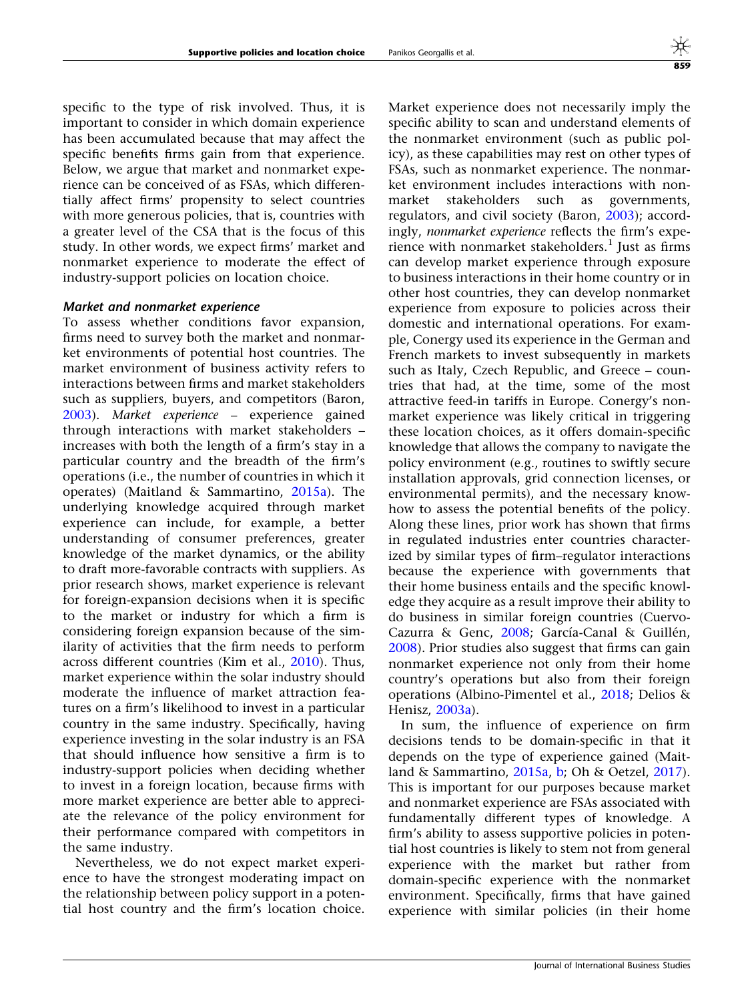specific to the type of risk involved. Thus, it is important to consider in which domain experience has been accumulated because that may affect the specific benefits firms gain from that experience. Below, we argue that market and nonmarket experience can be conceived of as FSAs, which differentially affect firms' propensity to select countries with more generous policies, that is, countries with a greater level of the CSA that is the focus of this study. In other words, we expect firms' market and nonmarket experience to moderate the effect of industry-support policies on location choice.

#### Market and nonmarket experience

To assess whether conditions favor expansion, firms need to survey both the market and nonmarket environments of potential host countries. The market environment of business activity refers to interactions between firms and market stakeholders such as suppliers, buyers, and competitors (Baron, [2003\)](#page-22-0). Market experience – experience gained through interactions with market stakeholders – increases with both the length of a firm's stay in a particular country and the breadth of the firm's operations (i.e., the number of countries in which it operates) (Maitland & Sammartino, [2015a](#page-24-0)). The underlying knowledge acquired through market experience can include, for example, a better understanding of consumer preferences, greater knowledge of the market dynamics, or the ability to draft more-favorable contracts with suppliers. As prior research shows, market experience is relevant for foreign-expansion decisions when it is specific to the market or industry for which a firm is considering foreign expansion because of the similarity of activities that the firm needs to perform across different countries (Kim et al., [2010](#page-24-0)). Thus, market experience within the solar industry should moderate the influence of market attraction features on a firm's likelihood to invest in a particular country in the same industry. Specifically, having experience investing in the solar industry is an FSA that should influence how sensitive a firm is to industry-support policies when deciding whether to invest in a foreign location, because firms with more market experience are better able to appreciate the relevance of the policy environment for their performance compared with competitors in the same industry.

Nevertheless, we do not expect market experience to have the strongest moderating impact on the relationship between policy support in a potential host country and the firm's location choice. Market experience does not necessarily imply the specific ability to scan and understand elements of the nonmarket environment (such as public policy), as these capabilities may rest on other types of FSAs, such as nonmarket experience. The nonmarket environment includes interactions with nonmarket stakeholders such as governments, regulators, and civil society (Baron, [2003](#page-22-0)); accordingly, nonmarket experience reflects the firm's experience with nonmarket stakeholders.<sup>1</sup> Just as firms can develop market experience through exposure to business interactions in their home country or in other host countries, they can develop nonmarket experience from exposure to policies across their domestic and international operations. For example, Conergy used its experience in the German and French markets to invest subsequently in markets such as Italy, Czech Republic, and Greece – countries that had, at the time, some of the most attractive feed-in tariffs in Europe. Conergy's nonmarket experience was likely critical in triggering these location choices, as it offers domain-specific knowledge that allows the company to navigate the policy environment (e.g., routines to swiftly secure installation approvals, grid connection licenses, or environmental permits), and the necessary knowhow to assess the potential benefits of the policy. Along these lines, prior work has shown that firms in regulated industries enter countries characterized by similar types of firm–regulator interactions because the experience with governments that their home business entails and the specific knowledge they acquire as a result improve their ability to do business in similar foreign countries (Cuervo-Cazurra & Genc, [2008;](#page-23-0) García-Canal & Guillén, [2008\)](#page-23-0). Prior studies also suggest that firms can gain nonmarket experience not only from their home country's operations but also from their foreign operations (Albino-Pimentel et al., [2018;](#page-22-0) Delios & Henisz, [2003a](#page-23-0)).

In sum, the influence of experience on firm decisions tends to be domain-specific in that it depends on the type of experience gained (Maitland & Sammartino, [2015a](#page-24-0), [b](#page-24-0); Oh & Oetzel, [2017](#page-24-0)). This is important for our purposes because market and nonmarket experience are FSAs associated with fundamentally different types of knowledge. A firm's ability to assess supportive policies in potential host countries is likely to stem not from general experience with the market but rather from domain-specific experience with the nonmarket environment. Specifically, firms that have gained experience with similar policies (in their home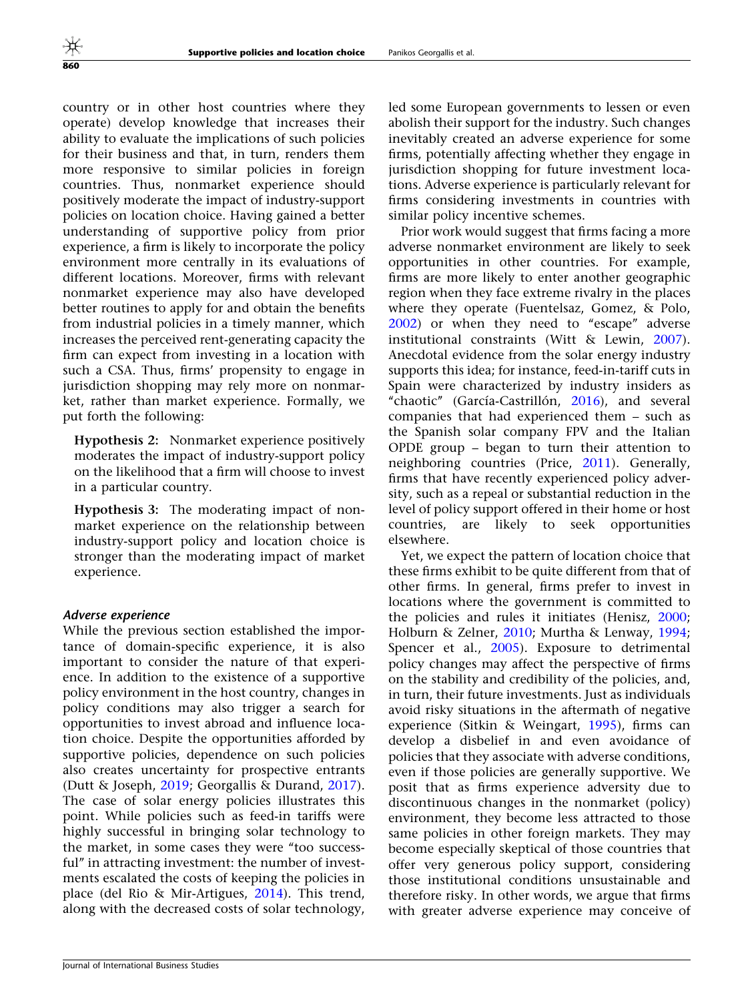country or in other host countries where they operate) develop knowledge that increases their ability to evaluate the implications of such policies for their business and that, in turn, renders them more responsive to similar policies in foreign countries. Thus, nonmarket experience should positively moderate the impact of industry-support policies on location choice. Having gained a better understanding of supportive policy from prior experience, a firm is likely to incorporate the policy environment more centrally in its evaluations of different locations. Moreover, firms with relevant nonmarket experience may also have developed better routines to apply for and obtain the benefits from industrial policies in a timely manner, which increases the perceived rent-generating capacity the firm can expect from investing in a location with such a CSA. Thus, firms' propensity to engage in jurisdiction shopping may rely more on nonmarket, rather than market experience. Formally, we put forth the following:

Hypothesis 2: Nonmarket experience positively moderates the impact of industry-support policy on the likelihood that a firm will choose to invest in a particular country.

Hypothesis 3: The moderating impact of nonmarket experience on the relationship between industry-support policy and location choice is stronger than the moderating impact of market experience.

#### Adverse experience

While the previous section established the importance of domain-specific experience, it is also important to consider the nature of that experience. In addition to the existence of a supportive policy environment in the host country, changes in policy conditions may also trigger a search for opportunities to invest abroad and influence location choice. Despite the opportunities afforded by supportive policies, dependence on such policies also creates uncertainty for prospective entrants (Dutt & Joseph, [2019;](#page-23-0) Georgallis & Durand, [2017\)](#page-23-0). The case of solar energy policies illustrates this point. While policies such as feed-in tariffs were highly successful in bringing solar technology to the market, in some cases they were ''too successful" in attracting investment: the number of investments escalated the costs of keeping the policies in place (del Rio & Mir-Artigues, [2014\)](#page-23-0). This trend, along with the decreased costs of solar technology,

led some European governments to lessen or even abolish their support for the industry. Such changes inevitably created an adverse experience for some firms, potentially affecting whether they engage in jurisdiction shopping for future investment locations. Adverse experience is particularly relevant for firms considering investments in countries with similar policy incentive schemes.

Prior work would suggest that firms facing a more adverse nonmarket environment are likely to seek opportunities in other countries. For example, firms are more likely to enter another geographic region when they face extreme rivalry in the places where they operate (Fuentelsaz, Gomez, & Polo, [2002\)](#page-23-0) or when they need to "escape" adverse institutional constraints (Witt & Lewin, [2007](#page-25-0)). Anecdotal evidence from the solar energy industry supports this idea; for instance, feed-in-tariff cuts in Spain were characterized by industry insiders as "chaotic" (García-Castrillón, [2016](#page-23-0)), and several companies that had experienced them – such as the Spanish solar company FPV and the Italian OPDE group – began to turn their attention to neighboring countries (Price, [2011](#page-24-0)). Generally, firms that have recently experienced policy adversity, such as a repeal or substantial reduction in the level of policy support offered in their home or host countries, are likely to seek opportunities elsewhere.

Yet, we expect the pattern of location choice that these firms exhibit to be quite different from that of other firms. In general, firms prefer to invest in locations where the government is committed to the policies and rules it initiates (Henisz, [2000;](#page-23-0) Holburn & Zelner, [2010;](#page-23-0) Murtha & Lenway, [1994;](#page-24-0) Spencer et al., [2005\)](#page-25-0). Exposure to detrimental policy changes may affect the perspective of firms on the stability and credibility of the policies, and, in turn, their future investments. Just as individuals avoid risky situations in the aftermath of negative experience (Sitkin & Weingart, [1995\)](#page-25-0), firms can develop a disbelief in and even avoidance of policies that they associate with adverse conditions, even if those policies are generally supportive. We posit that as firms experience adversity due to discontinuous changes in the nonmarket (policy) environment, they become less attracted to those same policies in other foreign markets. They may become especially skeptical of those countries that offer very generous policy support, considering those institutional conditions unsustainable and therefore risky. In other words, we argue that firms with greater adverse experience may conceive of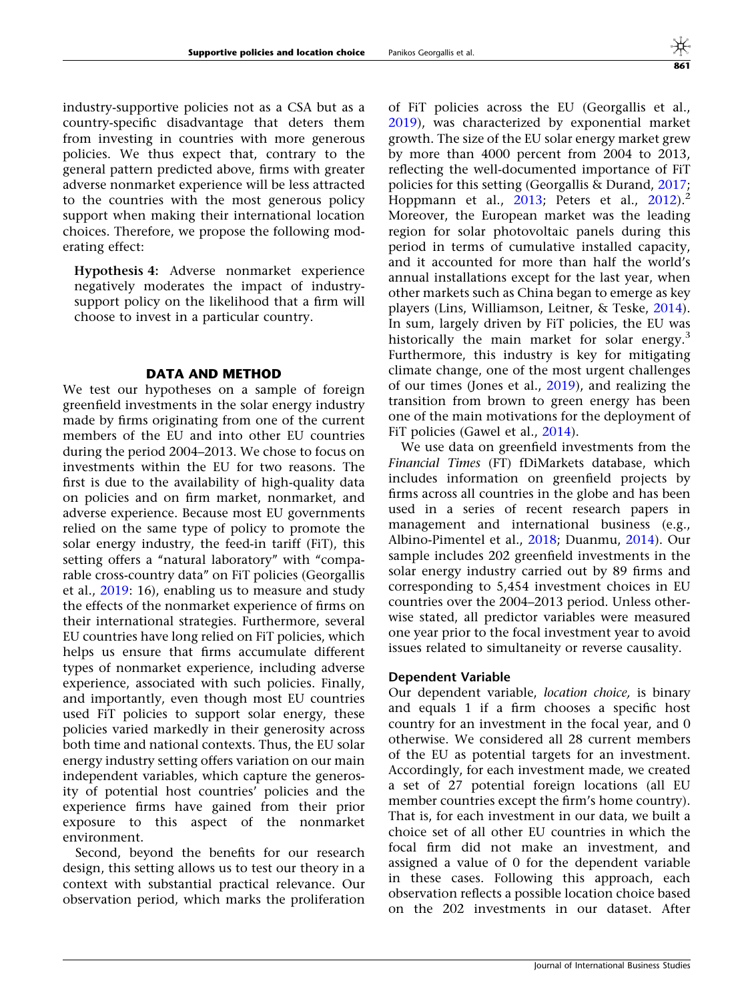industry-supportive policies not as a CSA but as a country-specific disadvantage that deters them from investing in countries with more generous policies. We thus expect that, contrary to the general pattern predicted above, firms with greater adverse nonmarket experience will be less attracted to the countries with the most generous policy support when making their international location choices. Therefore, we propose the following moderating effect:

Hypothesis 4: Adverse nonmarket experience negatively moderates the impact of industrysupport policy on the likelihood that a firm will choose to invest in a particular country.

#### DATA AND METHOD

We test our hypotheses on a sample of foreign greenfield investments in the solar energy industry made by firms originating from one of the current members of the EU and into other EU countries during the period 2004–2013. We chose to focus on investments within the EU for two reasons. The first is due to the availability of high-quality data on policies and on firm market, nonmarket, and adverse experience. Because most EU governments relied on the same type of policy to promote the solar energy industry, the feed-in tariff (FiT), this setting offers a "natural laboratory" with "comparable cross-country data'' on FiT policies (Georgallis et al., [2019:](#page-23-0) 16), enabling us to measure and study the effects of the nonmarket experience of firms on their international strategies. Furthermore, several EU countries have long relied on FiT policies, which helps us ensure that firms accumulate different types of nonmarket experience, including adverse experience, associated with such policies. Finally, and importantly, even though most EU countries used FiT policies to support solar energy, these policies varied markedly in their generosity across both time and national contexts. Thus, the EU solar energy industry setting offers variation on our main independent variables, which capture the generosity of potential host countries' policies and the experience firms have gained from their prior exposure to this aspect of the nonmarket environment.

Second, beyond the benefits for our research design, this setting allows us to test our theory in a context with substantial practical relevance. Our observation period, which marks the proliferation of FiT policies across the EU (Georgallis et al., [2019\)](#page-23-0), was characterized by exponential market growth. The size of the EU solar energy market grew by more than 4000 percent from 2004 to 2013, reflecting the well-documented importance of FiT policies for this setting (Georgallis & Durand, [2017;](#page-23-0) Hoppmann et al., [2013;](#page-24-0) Peters et al., [2012\)](#page-24-0).<sup>2</sup> Moreover, the European market was the leading region for solar photovoltaic panels during this period in terms of cumulative installed capacity, and it accounted for more than half the world's annual installations except for the last year, when other markets such as China began to emerge as key players (Lins, Williamson, Leitner, & Teske, [2014](#page-24-0)). In sum, largely driven by FiT policies, the EU was historically the main market for solar energy.<sup>3</sup> Furthermore, this industry is key for mitigating climate change, one of the most urgent challenges of our times (Jones et al., [2019\)](#page-24-0), and realizing the transition from brown to green energy has been one of the main motivations for the deployment of FiT policies (Gawel et al., [2014](#page-23-0)).

We use data on greenfield investments from the Financial Times (FT) fDiMarkets database, which includes information on greenfield projects by firms across all countries in the globe and has been used in a series of recent research papers in management and international business (e.g., Albino-Pimentel et al., [2018](#page-22-0); Duanmu, [2014](#page-23-0)). Our sample includes 202 greenfield investments in the solar energy industry carried out by 89 firms and corresponding to 5,454 investment choices in EU countries over the 2004–2013 period. Unless otherwise stated, all predictor variables were measured one year prior to the focal investment year to avoid issues related to simultaneity or reverse causality.

#### Dependent Variable

Our dependent variable, location choice, is binary and equals 1 if a firm chooses a specific host country for an investment in the focal year, and 0 otherwise. We considered all 28 current members of the EU as potential targets for an investment. Accordingly, for each investment made, we created a set of 27 potential foreign locations (all EU member countries except the firm's home country). That is, for each investment in our data, we built a choice set of all other EU countries in which the focal firm did not make an investment, and assigned a value of 0 for the dependent variable in these cases. Following this approach, each observation reflects a possible location choice based on the 202 investments in our dataset. After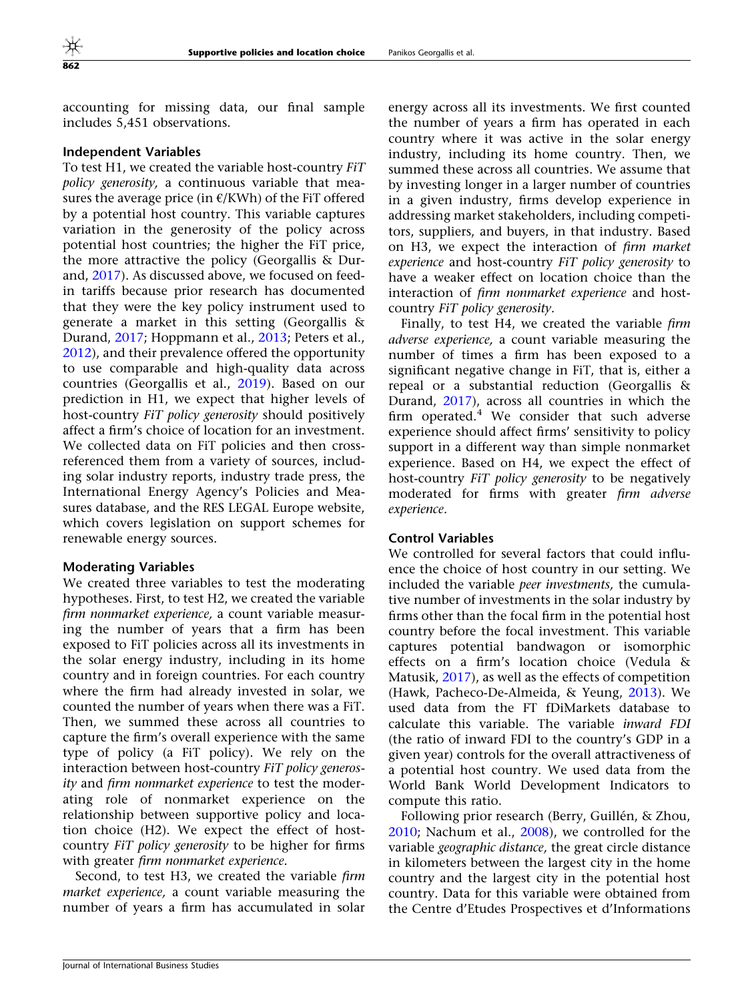accounting for missing data, our final sample includes 5,451 observations.

#### Independent Variables

To test H1, we created the variable host-country FiT policy generosity, a continuous variable that measures the average price (in  $E/KWh$ ) of the FiT offered by a potential host country. This variable captures variation in the generosity of the policy across potential host countries; the higher the FiT price, the more attractive the policy (Georgallis & Durand, [2017\)](#page-23-0). As discussed above, we focused on feedin tariffs because prior research has documented that they were the key policy instrument used to generate a market in this setting (Georgallis & Durand, [2017;](#page-23-0) Hoppmann et al., [2013;](#page-24-0) Peters et al., [2012\)](#page-24-0), and their prevalence offered the opportunity to use comparable and high-quality data across countries (Georgallis et al., [2019\)](#page-23-0). Based on our prediction in H1, we expect that higher levels of host-country FiT policy generosity should positively affect a firm's choice of location for an investment. We collected data on FiT policies and then crossreferenced them from a variety of sources, including solar industry reports, industry trade press, the International Energy Agency's Policies and Measures database, and the RES LEGAL Europe website, which covers legislation on support schemes for renewable energy sources.

#### Moderating Variables

We created three variables to test the moderating hypotheses. First, to test H2, we created the variable firm nonmarket experience, a count variable measuring the number of years that a firm has been exposed to FiT policies across all its investments in the solar energy industry, including in its home country and in foreign countries. For each country where the firm had already invested in solar, we counted the number of years when there was a FiT. Then, we summed these across all countries to capture the firm's overall experience with the same type of policy (a FiT policy). We rely on the interaction between host-country FiT policy generosity and firm nonmarket experience to test the moderating role of nonmarket experience on the relationship between supportive policy and location choice (H2). We expect the effect of hostcountry FiT policy generosity to be higher for firms with greater firm nonmarket experience.

Second, to test H3, we created the variable firm market experience, a count variable measuring the number of years a firm has accumulated in solar energy across all its investments. We first counted the number of years a firm has operated in each country where it was active in the solar energy industry, including its home country. Then, we summed these across all countries. We assume that by investing longer in a larger number of countries in a given industry, firms develop experience in addressing market stakeholders, including competitors, suppliers, and buyers, in that industry. Based on H3, we expect the interaction of firm market experience and host-country FiT policy generosity to have a weaker effect on location choice than the interaction of firm nonmarket experience and hostcountry FiT policy generosity.

Finally, to test H4, we created the variable firm adverse experience, a count variable measuring the number of times a firm has been exposed to a significant negative change in FiT, that is, either a repeal or a substantial reduction (Georgallis & Durand, [2017](#page-23-0)), across all countries in which the firm operated. $4$  We consider that such adverse experience should affect firms' sensitivity to policy support in a different way than simple nonmarket experience. Based on H4, we expect the effect of host-country FiT policy generosity to be negatively moderated for firms with greater firm adverse experience.

#### Control Variables

We controlled for several factors that could influence the choice of host country in our setting. We included the variable peer investments, the cumulative number of investments in the solar industry by firms other than the focal firm in the potential host country before the focal investment. This variable captures potential bandwagon or isomorphic effects on a firm's location choice (Vedula & Matusik, [2017](#page-25-0)), as well as the effects of competition (Hawk, Pacheco-De-Almeida, & Yeung, [2013](#page-23-0)). We used data from the FT fDiMarkets database to calculate this variable. The variable inward FDI (the ratio of inward FDI to the country's GDP in a given year) controls for the overall attractiveness of a potential host country. We used data from the World Bank World Development Indicators to compute this ratio.

Following prior research (Berry, Guillén, & Zhou, [2010;](#page-22-0) Nachum et al., [2008\)](#page-24-0), we controlled for the variable geographic distance, the great circle distance in kilometers between the largest city in the home country and the largest city in the potential host country. Data for this variable were obtained from the Centre d'Etudes Prospectives et d'Informations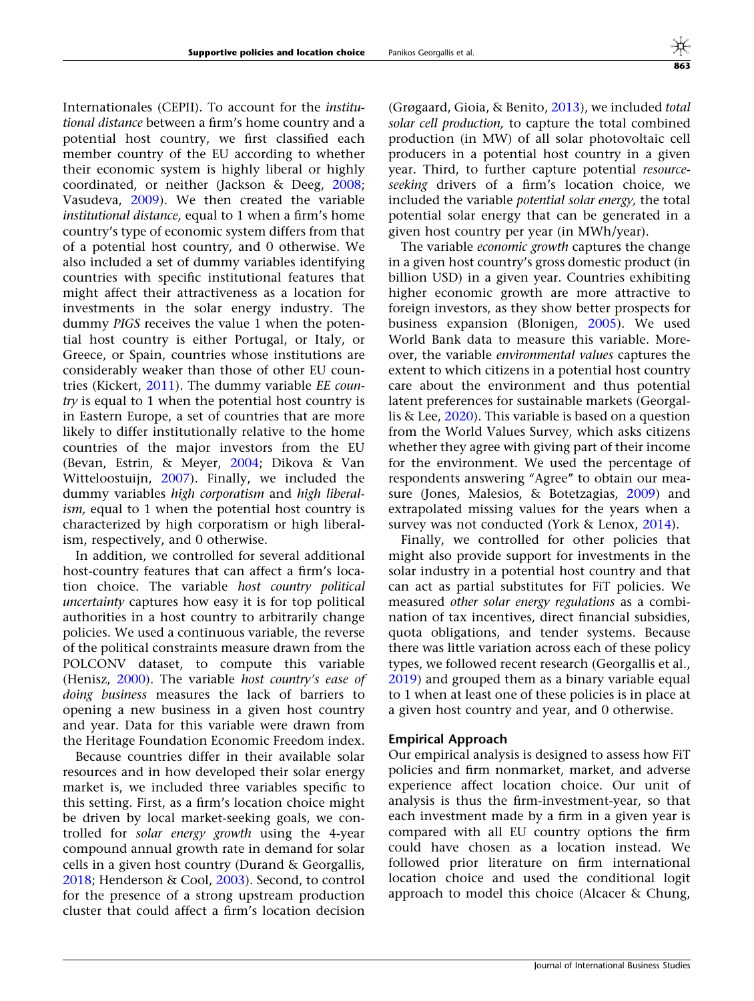Internationales (CEPII). To account for the institutional distance between a firm's home country and a potential host country, we first classified each member country of the EU according to whether their economic system is highly liberal or highly coordinated, or neither (Jackson & Deeg, [2008;](#page-24-0) Vasudeva, [2009](#page-25-0)). We then created the variable institutional distance, equal to 1 when a firm's home country's type of economic system differs from that of a potential host country, and 0 otherwise. We also included a set of dummy variables identifying countries with specific institutional features that might affect their attractiveness as a location for investments in the solar energy industry. The dummy PIGS receives the value 1 when the potential host country is either Portugal, or Italy, or Greece, or Spain, countries whose institutions are considerably weaker than those of other EU countries (Kickert, [2011](#page-24-0)). The dummy variable EE country is equal to 1 when the potential host country is in Eastern Europe, a set of countries that are more likely to differ institutionally relative to the home countries of the major investors from the EU (Bevan, Estrin, & Meyer, [2004;](#page-22-0) Dikova & Van Witteloostuijn, [2007](#page-23-0)). Finally, we included the dummy variables high corporatism and high liberalism, equal to 1 when the potential host country is characterized by high corporatism or high liberalism, respectively, and 0 otherwise.

In addition, we controlled for several additional host-country features that can affect a firm's location choice. The variable host country political uncertainty captures how easy it is for top political authorities in a host country to arbitrarily change policies. We used a continuous variable, the reverse of the political constraints measure drawn from the POLCONV dataset, to compute this variable (Henisz, [2000](#page-23-0)). The variable host country's ease of doing business measures the lack of barriers to opening a new business in a given host country and year. Data for this variable were drawn from the Heritage Foundation Economic Freedom index.

Because countries differ in their available solar resources and in how developed their solar energy market is, we included three variables specific to this setting. First, as a firm's location choice might be driven by local market-seeking goals, we controlled for solar energy growth using the 4-year compound annual growth rate in demand for solar cells in a given host country (Durand & Georgallis, [2018;](#page-23-0) Henderson & Cool, [2003\)](#page-23-0). Second, to control for the presence of a strong upstream production cluster that could affect a firm's location decision

(Grøgaard, Gioia, & Benito, [2013](#page-23-0)), we included total solar cell production, to capture the total combined production (in MW) of all solar photovoltaic cell producers in a potential host country in a given year. Third, to further capture potential *resource*seeking drivers of a firm's location choice, we included the variable potential solar energy, the total potential solar energy that can be generated in a given host country per year (in MWh/year).

The variable economic growth captures the change in a given host country's gross domestic product (in billion USD) in a given year. Countries exhibiting higher economic growth are more attractive to foreign investors, as they show better prospects for business expansion (Blonigen, [2005](#page-22-0)). We used World Bank data to measure this variable. Moreover, the variable environmental values captures the extent to which citizens in a potential host country care about the environment and thus potential latent preferences for sustainable markets (Georgallis & Lee, [2020](#page-23-0)). This variable is based on a question from the World Values Survey, which asks citizens whether they agree with giving part of their income for the environment. We used the percentage of respondents answering "Agree" to obtain our measure (Jones, Malesios, & Botetzagias, [2009](#page-24-0)) and extrapolated missing values for the years when a survey was not conducted (York & Lenox, [2014\)](#page-25-0).

Finally, we controlled for other policies that might also provide support for investments in the solar industry in a potential host country and that can act as partial substitutes for FiT policies. We measured other solar energy regulations as a combination of tax incentives, direct financial subsidies, quota obligations, and tender systems. Because there was little variation across each of these policy types, we followed recent research (Georgallis et al., [2019\)](#page-23-0) and grouped them as a binary variable equal to 1 when at least one of these policies is in place at a given host country and year, and 0 otherwise.

#### Empirical Approach

Our empirical analysis is designed to assess how FiT policies and firm nonmarket, market, and adverse experience affect location choice. Our unit of analysis is thus the firm-investment-year, so that each investment made by a firm in a given year is compared with all EU country options the firm could have chosen as a location instead. We followed prior literature on firm international location choice and used the conditional logit approach to model this choice (Alcacer & Chung,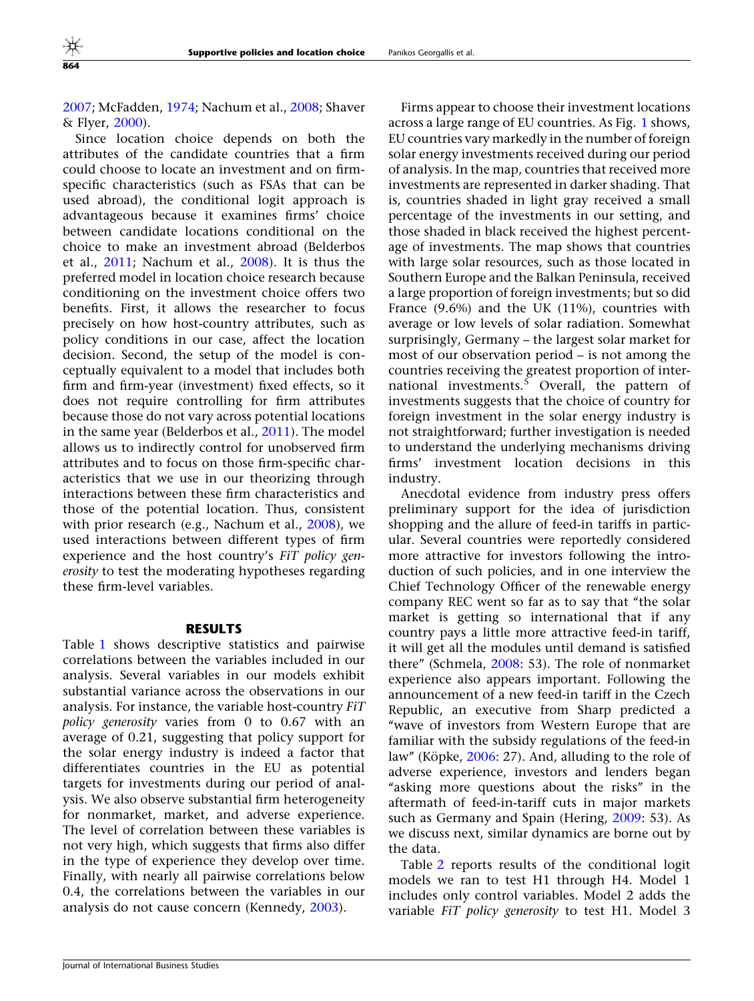[2007;](#page-22-0) McFadden, [1974](#page-24-0); Nachum et al., [2008](#page-24-0); Shaver & Flyer, [2000\)](#page-25-0).

Since location choice depends on both the attributes of the candidate countries that a firm could choose to locate an investment and on firmspecific characteristics (such as FSAs that can be used abroad), the conditional logit approach is advantageous because it examines firms' choice between candidate locations conditional on the choice to make an investment abroad (Belderbos et al., [2011;](#page-22-0) Nachum et al., [2008\)](#page-24-0). It is thus the preferred model in location choice research because conditioning on the investment choice offers two benefits. First, it allows the researcher to focus precisely on how host-country attributes, such as policy conditions in our case, affect the location decision. Second, the setup of the model is conceptually equivalent to a model that includes both firm and firm-year (investment) fixed effects, so it does not require controlling for firm attributes because those do not vary across potential locations in the same year (Belderbos et al., [2011\)](#page-22-0). The model allows us to indirectly control for unobserved firm attributes and to focus on those firm-specific characteristics that we use in our theorizing through interactions between these firm characteristics and those of the potential location. Thus, consistent with prior research (e.g., Nachum et al., [2008](#page-24-0)), we used interactions between different types of firm experience and the host country's FiT policy generosity to test the moderating hypotheses regarding these firm-level variables.

#### RESULTS

Table [1](#page-13-0) shows descriptive statistics and pairwise correlations between the variables included in our analysis. Several variables in our models exhibit substantial variance across the observations in our analysis. For instance, the variable host-country FiT policy generosity varies from 0 to 0.67 with an average of 0.21, suggesting that policy support for the solar energy industry is indeed a factor that differentiates countries in the EU as potential targets for investments during our period of analysis. We also observe substantial firm heterogeneity for nonmarket, market, and adverse experience. The level of correlation between these variables is not very high, which suggests that firms also differ in the type of experience they develop over time. Finally, with nearly all pairwise correlations below 0.4, the correlations between the variables in our analysis do not cause concern (Kennedy, [2003\)](#page-24-0).

Firms appear to choose their investment locations across a large range of EU countries. As Fig. [1](#page-14-0) shows, EU countries vary markedly in the number of foreign solar energy investments received during our period of analysis. In the map, countries that received more investments are represented in darker shading. That is, countries shaded in light gray received a small percentage of the investments in our setting, and those shaded in black received the highest percentage of investments. The map shows that countries with large solar resources, such as those located in Southern Europe and the Balkan Peninsula, received a large proportion of foreign investments; but so did France (9.6%) and the UK (11%), countries with average or low levels of solar radiation. Somewhat surprisingly, Germany – the largest solar market for most of our observation period – is not among the countries receiving the greatest proportion of international investments.<sup>5</sup> Overall, the pattern of investments suggests that the choice of country for foreign investment in the solar energy industry is not straightforward; further investigation is needed to understand the underlying mechanisms driving firms' investment location decisions in this industry.

Anecdotal evidence from industry press offers preliminary support for the idea of jurisdiction shopping and the allure of feed-in tariffs in particular. Several countries were reportedly considered more attractive for investors following the introduction of such policies, and in one interview the Chief Technology Officer of the renewable energy company REC went so far as to say that ''the solar market is getting so international that if any country pays a little more attractive feed-in tariff, it will get all the modules until demand is satisfied there'' (Schmela, [2008:](#page-24-0) 53). The role of nonmarket experience also appears important. Following the announcement of a new feed-in tariff in the Czech Republic, an executive from Sharp predicted a ''wave of investors from Western Europe that are familiar with the subsidy regulations of the feed-in law" (Köpke,  $2006: 27$  $2006: 27$ ). And, alluding to the role of adverse experience, investors and lenders began "asking more questions about the risks" in the aftermath of feed-in-tariff cuts in major markets such as Germany and Spain (Hering, [2009:](#page-23-0) 53). As we discuss next, similar dynamics are borne out by the data.

Table [2](#page-15-0) reports results of the conditional logit models we ran to test H1 through H4. Model 1 includes only control variables. Model 2 adds the variable FiT policy generosity to test H1. Model 3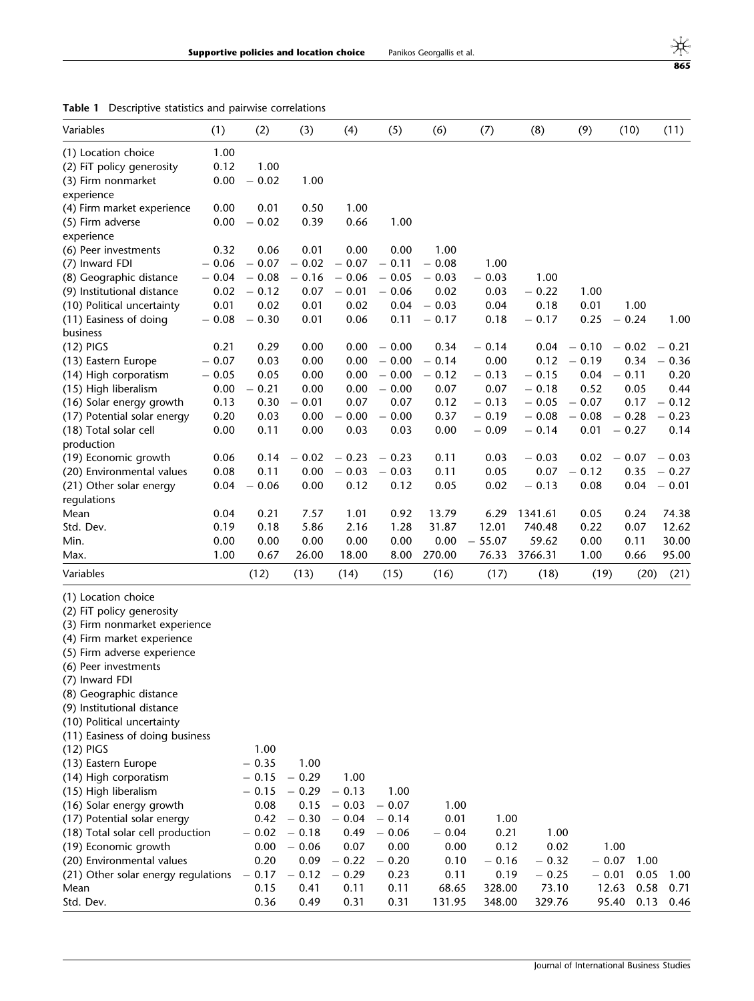<span id="page-13-0"></span>

|  |  |  |  |  | Table 1 Descriptive statistics and pairwise correlations |
|--|--|--|--|--|----------------------------------------------------------|
|--|--|--|--|--|----------------------------------------------------------|

| Variables                           | (1)     | (2)     | (3)     | (4)     | (5)     | (6)     | (7)      | (8)     | (9)     | (10)            | (11)    |
|-------------------------------------|---------|---------|---------|---------|---------|---------|----------|---------|---------|-----------------|---------|
| (1) Location choice                 | 1.00    |         |         |         |         |         |          |         |         |                 |         |
| (2) FiT policy generosity           | 0.12    | 1.00    |         |         |         |         |          |         |         |                 |         |
| (3) Firm nonmarket                  | 0.00    | $-0.02$ | 1.00    |         |         |         |          |         |         |                 |         |
| experience                          |         |         |         |         |         |         |          |         |         |                 |         |
| (4) Firm market experience          | 0.00    | 0.01    | 0.50    | 1.00    |         |         |          |         |         |                 |         |
| (5) Firm adverse                    | 0.00    | $-0.02$ | 0.39    | 0.66    | 1.00    |         |          |         |         |                 |         |
| experience                          |         |         |         |         |         |         |          |         |         |                 |         |
| (6) Peer investments                | 0.32    | 0.06    | 0.01    | 0.00    | 0.00    | 1.00    |          |         |         |                 |         |
| (7) Inward FDI                      | $-0.06$ | $-0.07$ | $-0.02$ | $-0.07$ | $-0.11$ | $-0.08$ | 1.00     |         |         |                 |         |
| (8) Geographic distance             | $-0.04$ | $-0.08$ | $-0.16$ | $-0.06$ | $-0.05$ | $-0.03$ | $-0.03$  | 1.00    |         |                 |         |
| (9) Institutional distance          | 0.02    | $-0.12$ | 0.07    | $-0.01$ | $-0.06$ | 0.02    | 0.03     | $-0.22$ | 1.00    |                 |         |
| (10) Political uncertainty          | 0.01    | 0.02    | 0.01    | 0.02    | 0.04    | $-0.03$ | 0.04     | 0.18    | 0.01    | 1.00            |         |
| (11) Easiness of doing              | $-0.08$ | $-0.30$ | 0.01    | 0.06    | 0.11    | $-0.17$ | 0.18     | $-0.17$ | 0.25    | $-0.24$         | 1.00    |
| business                            |         |         |         |         |         |         |          |         |         |                 |         |
| $(12)$ PIGS                         | 0.21    | 0.29    | 0.00    | 0.00    | $-0.00$ | 0.34    | $-0.14$  | 0.04    | $-0.10$ | $-0.02$         | $-0.21$ |
| (13) Eastern Europe                 | $-0.07$ | 0.03    | 0.00    | 0.00    | $-0.00$ | $-0.14$ | 0.00     | 0.12    | $-0.19$ | 0.34            | $-0.36$ |
| (14) High corporatism               | $-0.05$ | 0.05    | 0.00    | 0.00    | $-0.00$ | $-0.12$ | $-0.13$  | $-0.15$ | 0.04    | $-0.11$         | 0.20    |
| (15) High liberalism                | 0.00    | $-0.21$ | 0.00    | 0.00    | $-0.00$ | 0.07    | 0.07     | $-0.18$ | 0.52    | 0.05            | 0.44    |
| (16) Solar energy growth            | 0.13    | 0.30    | $-0.01$ | 0.07    | 0.07    | 0.12    | $-0.13$  | $-0.05$ | $-0.07$ | 0.17            | $-0.12$ |
| (17) Potential solar energy         | 0.20    | 0.03    | 0.00    | 0.00    | $-0.00$ | 0.37    | $-0.19$  | $-0.08$ | $-0.08$ | $-0.28$         | $-0.23$ |
| (18) Total solar cell               | 0.00    | 0.11    | 0.00    | 0.03    | 0.03    | 0.00    | $-0.09$  | $-0.14$ | 0.01    | $-0.27$         | 0.14    |
| production                          |         |         |         |         |         |         |          |         |         |                 |         |
| (19) Economic growth                | 0.06    | 0.14    | $-0.02$ | $-0.23$ | $-0.23$ | 0.11    | 0.03     | $-0.03$ | 0.02    | $-0.07$         | $-0.03$ |
| (20) Environmental values           | 0.08    | 0.11    | 0.00    | $-0.03$ | $-0.03$ | 0.11    | 0.05     | 0.07    | $-0.12$ | 0.35            | $-0.27$ |
| (21) Other solar energy             | 0.04    | $-0.06$ | 0.00    | 0.12    | 0.12    | 0.05    | 0.02     | $-0.13$ | 0.08    | 0.04            | $-0.01$ |
| regulations                         |         |         |         |         |         |         |          |         |         |                 |         |
| Mean                                | 0.04    | 0.21    | 7.57    | 1.01    | 0.92    | 13.79   | 6.29     | 1341.61 | 0.05    | 0.24            | 74.38   |
| Std. Dev.                           | 0.19    | 0.18    | 5.86    | 2.16    | 1.28    | 31.87   | 12.01    | 740.48  | 0.22    | 0.07            | 12.62   |
| Min.                                | 0.00    | 0.00    | 0.00    | 0.00    | 0.00    | 0.00    | $-55.07$ | 59.62   | 0.00    | 0.11            | 30.00   |
| Max.                                | 1.00    | 0.67    | 26.00   | 18.00   | 8.00    | 270.00  | 76.33    | 3766.31 | 1.00    | 0.66            | 95.00   |
| Variables                           |         | (12)    | (13)    | (14)    | (15)    | (16)    | (17)     | (18)    | (19)    | (20)            | (21)    |
| (1) Location choice                 |         |         |         |         |         |         |          |         |         |                 |         |
| (2) FiT policy generosity           |         |         |         |         |         |         |          |         |         |                 |         |
| (3) Firm nonmarket experience       |         |         |         |         |         |         |          |         |         |                 |         |
| (4) Firm market experience          |         |         |         |         |         |         |          |         |         |                 |         |
| (5) Firm adverse experience         |         |         |         |         |         |         |          |         |         |                 |         |
| (6) Peer investments                |         |         |         |         |         |         |          |         |         |                 |         |
| (7) Inward FDI                      |         |         |         |         |         |         |          |         |         |                 |         |
| (8) Geographic distance             |         |         |         |         |         |         |          |         |         |                 |         |
| (9) Institutional distance          |         |         |         |         |         |         |          |         |         |                 |         |
| (10) Political uncertainty          |         |         |         |         |         |         |          |         |         |                 |         |
| (11) Easiness of doing business     |         |         |         |         |         |         |          |         |         |                 |         |
| $(12)$ PIGS                         |         | 1.00    |         |         |         |         |          |         |         |                 |         |
| (13) Eastern Europe                 |         | $-0.35$ | 1.00    |         |         |         |          |         |         |                 |         |
| (14) High corporatism               |         | $-0.15$ | $-0.29$ | 1.00    |         |         |          |         |         |                 |         |
| (15) High liberalism                |         | $-0.15$ | $-0.29$ | $-0.13$ | 1.00    |         |          |         |         |                 |         |
| (16) Solar energy growth            |         | 0.08    | 0.15    | $-0.03$ | $-0.07$ | 1.00    |          |         |         |                 |         |
| (17) Potential solar energy         |         | 0.42    | $-0.30$ | $-0.04$ | $-0.14$ | 0.01    | 1.00     |         |         |                 |         |
| (18) Total solar cell production    |         | $-0.02$ | $-0.18$ | 0.49    | $-0.06$ | $-0.04$ | 0.21     | 1.00    |         |                 |         |
| (19) Economic growth                |         | 0.00    | $-0.06$ | 0.07    | 0.00    | 0.00    | 0.12     | 0.02    |         | 1.00            |         |
| (20) Environmental values           |         | 0.20    | 0.09    | $-0.22$ | $-0.20$ | 0.10    | $-0.16$  | $-0.32$ |         | $-0.07$<br>1.00 |         |
| (21) Other solar energy regulations |         | $-0.17$ | $-0.12$ | $-0.29$ | 0.23    | 0.11    | 0.19     | $-0.25$ |         | $-0.01$<br>0.05 | 1.00    |
| Mean                                |         | 0.15    | 0.41    | 0.11    | 0.11    | 68.65   | 328.00   | 73.10   |         | 0.58<br>12.63   | 0.71    |
| Std. Dev.                           |         | 0.36    | 0.49    | 0.31    | 0.31    | 131.95  | 348.00   | 329.76  |         | 95.40<br>0.13   | 0.46    |

 $\frac{4}{100}$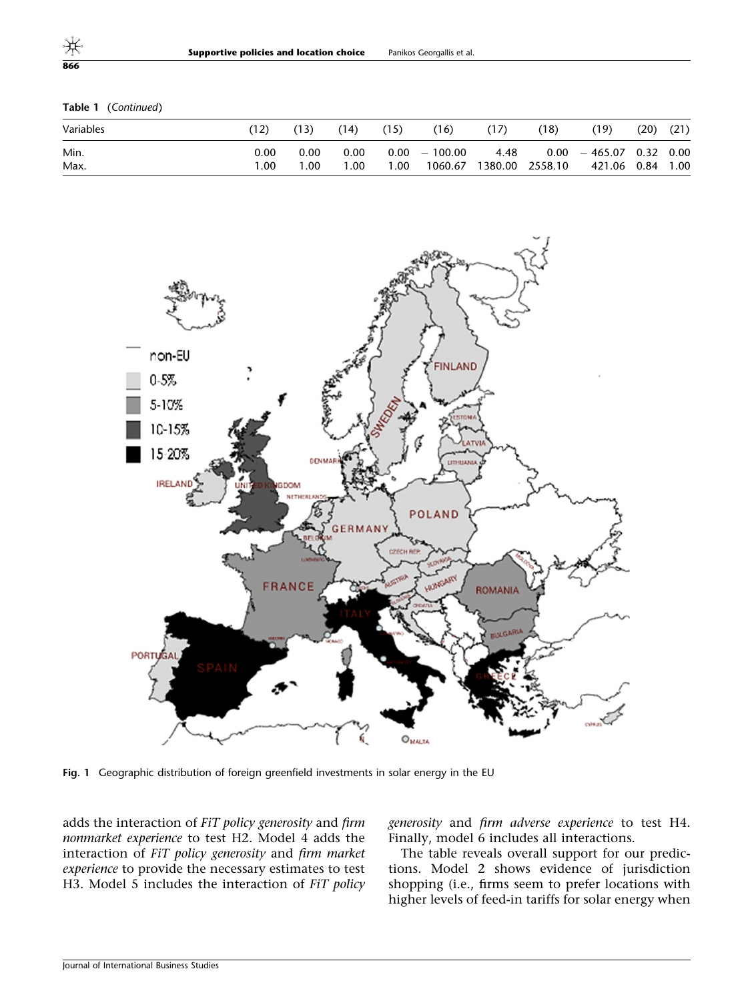Table 1 (Continued)

| Variables |      |      | (14) | (15) | (16)            | (17) | (18)            | (19)                              | (20) | (21) |
|-----------|------|------|------|------|-----------------|------|-----------------|-----------------------------------|------|------|
| Min.      | 0.00 | 0.00 | 0.00 |      | $0.00 - 100.00$ |      |                 | $4.48$ $0.00$ $-465.07$ 0.32 0.00 |      |      |
| Max.      | 0.00 | 00.1 | 1.00 | 1.00 | 1060.67         |      | 1380.00 2558.10 | 421.06  0.84                      |      | 1.00 |



Fig. 1 Geographic distribution of foreign greenfield investments in solar energy in the EU

adds the interaction of FiT policy generosity and firm nonmarket experience to test H2. Model 4 adds the interaction of FiT policy generosity and firm market experience to provide the necessary estimates to test H3. Model 5 includes the interaction of FiT policy generosity and firm adverse experience to test H4. Finally, model 6 includes all interactions.

The table reveals overall support for our predictions. Model 2 shows evidence of jurisdiction shopping (i.e., firms seem to prefer locations with higher levels of feed-in tariffs for solar energy when

<span id="page-14-0"></span>866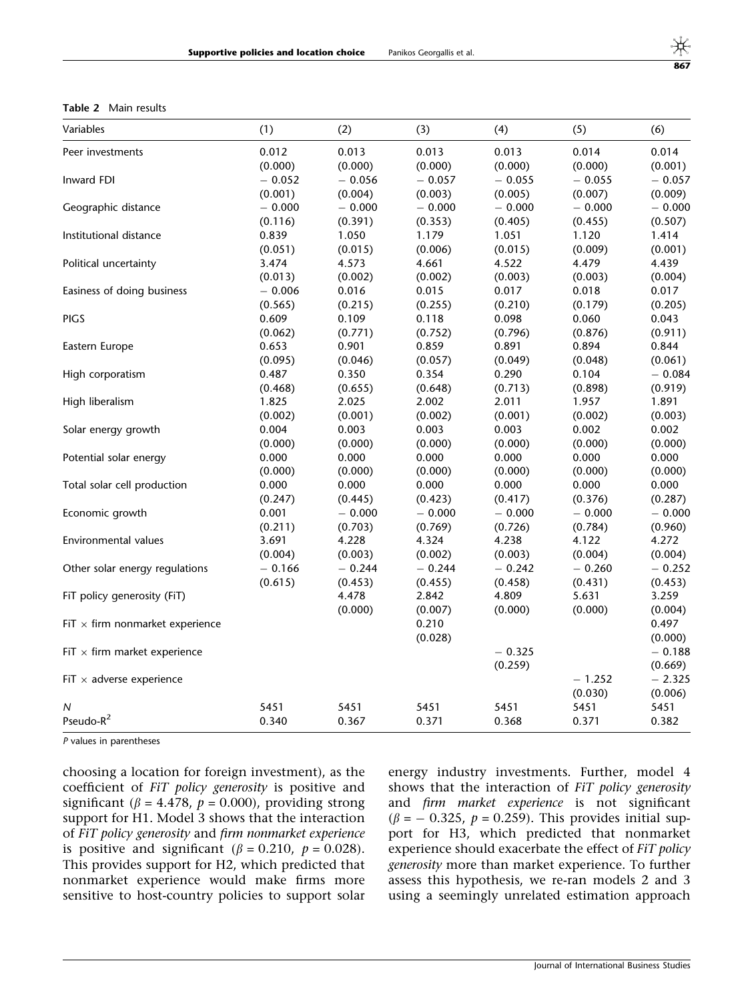<span id="page-15-0"></span>Table 2 Main results

| Variables                              | (1)      | (2)      | (3)      | (4)      | (5)      | (6)      |
|----------------------------------------|----------|----------|----------|----------|----------|----------|
| Peer investments                       | 0.012    | 0.013    | 0.013    | 0.013    | 0.014    | 0.014    |
|                                        | (0.000)  | (0.000)  | (0.000)  | (0.000)  | (0.000)  | (0.001)  |
| Inward FDI                             | $-0.052$ | $-0.056$ | $-0.057$ | $-0.055$ | $-0.055$ | $-0.057$ |
|                                        | (0.001)  | (0.004)  | (0.003)  | (0.005)  | (0.007)  | (0.009)  |
| Geographic distance                    | $-0.000$ | $-0.000$ | $-0.000$ | $-0.000$ | $-0.000$ | $-0.000$ |
|                                        | (0.116)  | (0.391)  | (0.353)  | (0.405)  | (0.455)  | (0.507)  |
| Institutional distance                 | 0.839    | 1.050    | 1.179    | 1.051    | 1.120    | 1.414    |
|                                        | (0.051)  | (0.015)  | (0.006)  | (0.015)  | (0.009)  | (0.001)  |
| Political uncertainty                  | 3.474    | 4.573    | 4.661    | 4.522    | 4.479    | 4.439    |
|                                        | (0.013)  | (0.002)  | (0.002)  | (0.003)  | (0.003)  | (0.004)  |
| Easiness of doing business             | $-0.006$ | 0.016    | 0.015    | 0.017    | 0.018    | 0.017    |
|                                        | (0.565)  | (0.215)  | (0.255)  | (0.210)  | (0.179)  | (0.205)  |
| <b>PIGS</b>                            | 0.609    | 0.109    | 0.118    | 0.098    | 0.060    | 0.043    |
|                                        | (0.062)  | (0.771)  | (0.752)  | (0.796)  | (0.876)  | (0.911)  |
| Eastern Europe                         | 0.653    | 0.901    | 0.859    | 0.891    | 0.894    | 0.844    |
|                                        | (0.095)  | (0.046)  | (0.057)  | (0.049)  | (0.048)  | (0.061)  |
| High corporatism                       | 0.487    | 0.350    | 0.354    | 0.290    | 0.104    | $-0.084$ |
|                                        | (0.468)  | (0.655)  | (0.648)  | (0.713)  | (0.898)  | (0.919)  |
| High liberalism                        | 1.825    | 2.025    | 2.002    | 2.011    | 1.957    | 1.891    |
|                                        | (0.002)  | (0.001)  | (0.002)  | (0.001)  | (0.002)  | (0.003)  |
| Solar energy growth                    | 0.004    | 0.003    | 0.003    | 0.003    | 0.002    | 0.002    |
|                                        | (0.000)  | (0.000)  | (0.000)  | (0.000)  | (0.000)  | (0.000)  |
| Potential solar energy                 | 0.000    | 0.000    | 0.000    | 0.000    | 0.000    | 0.000    |
|                                        | (0.000)  | (0.000)  | (0.000)  | (0.000)  | (0.000)  | (0.000)  |
| Total solar cell production            | 0.000    | 0.000    | 0.000    | 0.000    | 0.000    | 0.000    |
|                                        | (0.247)  | (0.445)  | (0.423)  | (0.417)  | (0.376)  | (0.287)  |
| Economic growth                        | 0.001    | $-0.000$ | $-0.000$ | $-0.000$ | $-0.000$ | $-0.000$ |
|                                        | (0.211)  | (0.703)  | (0.769)  | (0.726)  | (0.784)  | (0.960)  |
| Environmental values                   | 3.691    | 4.228    | 4.324    | 4.238    | 4.122    | 4.272    |
|                                        | (0.004)  | (0.003)  | (0.002)  | (0.003)  | (0.004)  | (0.004)  |
| Other solar energy regulations         | $-0.166$ | $-0.244$ | $-0.244$ | $-0.242$ | $-0.260$ | $-0.252$ |
|                                        | (0.615)  | (0.453)  | (0.455)  | (0.458)  | (0.431)  | (0.453)  |
| FiT policy generosity (FiT)            |          | 4.478    | 2.842    | 4.809    | 5.631    | 3.259    |
|                                        |          | (0.000)  | (0.007)  | (0.000)  | (0.000)  | (0.004)  |
| FiT $\times$ firm nonmarket experience |          |          | 0.210    |          |          | 0.497    |
|                                        |          |          | (0.028)  |          |          | (0.000)  |
| FiT $\times$ firm market experience    |          |          |          | $-0.325$ |          | $-0.188$ |
|                                        |          |          |          | (0.259)  |          | (0.669)  |
| FiT $\times$ adverse experience        |          |          |          |          | $-1.252$ | $-2.325$ |
|                                        |          |          |          |          | (0.030)  | (0.006)  |
| N                                      | 5451     | 5451     | 5451     | 5451     | 5451     | 5451     |
| Pseudo-R <sup>2</sup>                  | 0.340    | 0.367    | 0.371    | 0.368    | 0.371    | 0.382    |

P values in parentheses

choosing a location for foreign investment), as the coefficient of FiT policy generosity is positive and significant ( $\beta = 4.478$ ,  $p = 0.000$ ), providing strong support for H1. Model 3 shows that the interaction of FiT policy generosity and firm nonmarket experience is positive and significant ( $\beta$  = 0.210,  $p$  = 0.028). This provides support for H2, which predicted that nonmarket experience would make firms more sensitive to host-country policies to support solar

energy industry investments. Further, model 4 shows that the interaction of FiT policy generosity and firm market experience is not significant  $(\beta = -0.325, p = 0.259)$ . This provides initial support for H3, which predicted that nonmarket experience should exacerbate the effect of FiT policy generosity more than market experience. To further assess this hypothesis, we re-ran models 2 and 3 using a seemingly unrelated estimation approach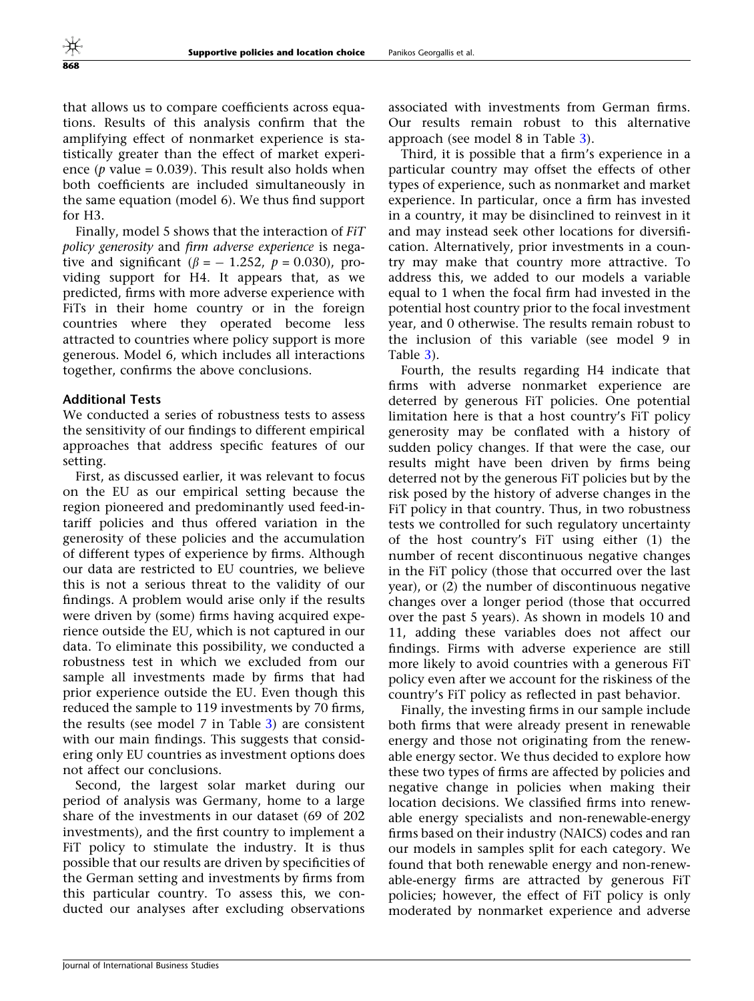that allows us to compare coefficients across equations. Results of this analysis confirm that the amplifying effect of nonmarket experience is statistically greater than the effect of market experience (*p* value =  $0.039$ ). This result also holds when both coefficients are included simultaneously in the same equation (model 6). We thus find support for H3.

Finally, model 5 shows that the interaction of FiT policy generosity and firm adverse experience is negative and significant ( $\beta = -1.252$ ,  $p = 0.030$ ), providing support for H4. It appears that, as we predicted, firms with more adverse experience with FiTs in their home country or in the foreign countries where they operated become less attracted to countries where policy support is more generous. Model 6, which includes all interactions together, confirms the above conclusions.

#### Additional Tests

We conducted a series of robustness tests to assess the sensitivity of our findings to different empirical approaches that address specific features of our setting.

First, as discussed earlier, it was relevant to focus on the EU as our empirical setting because the region pioneered and predominantly used feed-intariff policies and thus offered variation in the generosity of these policies and the accumulation of different types of experience by firms. Although our data are restricted to EU countries, we believe this is not a serious threat to the validity of our findings. A problem would arise only if the results were driven by (some) firms having acquired experience outside the EU, which is not captured in our data. To eliminate this possibility, we conducted a robustness test in which we excluded from our sample all investments made by firms that had prior experience outside the EU. Even though this reduced the sample to 119 investments by 70 firms, the results (see model 7 in Table [3](#page-17-0)) are consistent with our main findings. This suggests that considering only EU countries as investment options does not affect our conclusions.

Second, the largest solar market during our period of analysis was Germany, home to a large share of the investments in our dataset (69 of 202 investments), and the first country to implement a FiT policy to stimulate the industry. It is thus possible that our results are driven by specificities of the German setting and investments by firms from this particular country. To assess this, we conducted our analyses after excluding observations

associated with investments from German firms. Our results remain robust to this alternative approach (see model 8 in Table [3\)](#page-17-0).

Third, it is possible that a firm's experience in a particular country may offset the effects of other types of experience, such as nonmarket and market experience. In particular, once a firm has invested in a country, it may be disinclined to reinvest in it and may instead seek other locations for diversification. Alternatively, prior investments in a country may make that country more attractive. To address this, we added to our models a variable equal to 1 when the focal firm had invested in the potential host country prior to the focal investment year, and 0 otherwise. The results remain robust to the inclusion of this variable (see model 9 in Table [3](#page-17-0)).

Fourth, the results regarding H4 indicate that firms with adverse nonmarket experience are deterred by generous FiT policies. One potential limitation here is that a host country's FiT policy generosity may be conflated with a history of sudden policy changes. If that were the case, our results might have been driven by firms being deterred not by the generous FiT policies but by the risk posed by the history of adverse changes in the FiT policy in that country. Thus, in two robustness tests we controlled for such regulatory uncertainty of the host country's FiT using either (1) the number of recent discontinuous negative changes in the FiT policy (those that occurred over the last year), or (2) the number of discontinuous negative changes over a longer period (those that occurred over the past 5 years). As shown in models 10 and 11, adding these variables does not affect our findings. Firms with adverse experience are still more likely to avoid countries with a generous FiT policy even after we account for the riskiness of the country's FiT policy as reflected in past behavior.

Finally, the investing firms in our sample include both firms that were already present in renewable energy and those not originating from the renewable energy sector. We thus decided to explore how these two types of firms are affected by policies and negative change in policies when making their location decisions. We classified firms into renewable energy specialists and non-renewable-energy firms based on their industry (NAICS) codes and ran our models in samples split for each category. We found that both renewable energy and non-renewable-energy firms are attracted by generous FiT policies; however, the effect of FiT policy is only moderated by nonmarket experience and adverse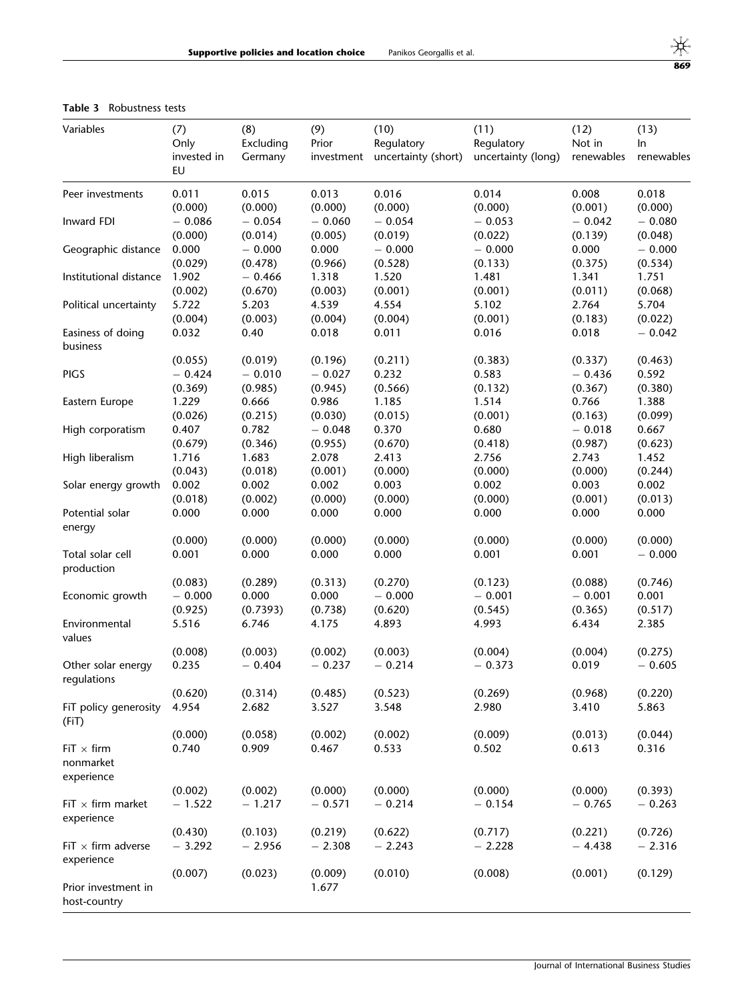#### <span id="page-17-0"></span>Table 3 Robustness tests

| Variables                                    | (7)<br>Only<br>invested in<br>EU | (8)<br>Excluding<br>Germany | (9)<br>Prior<br>investment | (10)<br>Regulatory<br>uncertainty (short) | (11)<br>Regulatory<br>uncertainty (long) | (12)<br>Not in<br>renewables | (13)<br>In<br>renewables  |
|----------------------------------------------|----------------------------------|-----------------------------|----------------------------|-------------------------------------------|------------------------------------------|------------------------------|---------------------------|
| Peer investments                             | 0.011                            | 0.015                       | 0.013                      | 0.016                                     | 0.014                                    | 0.008                        | 0.018                     |
|                                              | (0.000)                          | (0.000)                     | (0.000)                    | (0.000)                                   | (0.000)                                  | (0.001)                      | (0.000)                   |
| Inward FDI                                   | $-0.086$                         | $-0.054$                    | $-0.060$                   | $-0.054$                                  | $-0.053$                                 | $-0.042$                     | $-0.080$                  |
|                                              | (0.000)                          | (0.014)                     | (0.005)                    | (0.019)                                   | (0.022)                                  | (0.139)                      | (0.048)                   |
| Geographic distance                          | 0.000                            | $-0.000$                    | 0.000                      | $-0.000$                                  | $-0.000$                                 | 0.000                        | $-0.000$                  |
|                                              | (0.029)                          | (0.478)                     | (0.966)                    | (0.528)                                   | (0.133)                                  | (0.375)                      | (0.534)                   |
| Institutional distance                       | 1.902                            | $-0.466$                    | 1.318                      | 1.520                                     | 1.481                                    | 1.341                        | 1.751                     |
|                                              | (0.002)                          | (0.670)                     | (0.003)                    | (0.001)                                   | (0.001)                                  | (0.011)                      | (0.068)                   |
| Political uncertainty                        | 5.722                            | 5.203                       | 4.539                      | 4.554                                     | 5.102                                    | 2.764                        | 5.704                     |
|                                              | (0.004)                          | (0.003)                     | (0.004)                    | (0.004)                                   | (0.001)                                  | (0.183)                      | (0.022)                   |
| Easiness of doing<br>business                | 0.032                            | 0.40                        | 0.018                      | 0.011                                     | 0.016                                    | 0.018                        | $-0.042$                  |
| <b>PIGS</b>                                  | (0.055)                          | (0.019)                     | (0.196)                    | (0.211)                                   | (0.383)                                  | (0.337)                      | (0.463)                   |
|                                              | $-0.424$                         | $-0.010$                    | $-0.027$                   | 0.232                                     | 0.583                                    | $-0.436$                     | 0.592                     |
|                                              | (0.369)                          | (0.985)                     | (0.945)                    | (0.566)                                   | (0.132)                                  | (0.367)                      | (0.380)                   |
| Eastern Europe                               | 1.229                            | 0.666                       | 0.986                      | 1.185                                     | 1.514                                    | 0.766                        | 1.388                     |
|                                              | (0.026)                          | (0.215)                     | (0.030)                    | (0.015)                                   | (0.001)                                  | (0.163)                      | (0.099)                   |
| High corporatism                             | 0.407                            | 0.782                       | $-0.048$                   | 0.370                                     | 0.680                                    | $-0.018$                     | 0.667                     |
|                                              | (0.679)                          | (0.346)                     | (0.955)                    | (0.670)                                   | (0.418)                                  | (0.987)                      | (0.623)                   |
| High liberalism<br>Solar energy growth       | 1.716<br>(0.043)<br>0.002        | 1.683<br>(0.018)<br>0.002   | 2.078<br>(0.001)<br>0.002  | 2.413<br>(0.000)<br>0.003                 | 2.756<br>(0.000)<br>0.002                | 2.743<br>(0.000)<br>0.003    | 1.452<br>(0.244)<br>0.002 |
| Potential solar                              | (0.018)                          | (0.002)                     | (0.000)                    | (0.000)                                   | (0.000)                                  | (0.001)                      | (0.013)                   |
|                                              | 0.000                            | 0.000                       | 0.000                      | 0.000                                     | 0.000                                    | 0.000                        | 0.000                     |
| energy                                       | (0.000)                          | (0.000)                     | (0.000)                    | (0.000)                                   | (0.000)                                  | (0.000)                      | (0.000)                   |
| Total solar cell<br>production               | 0.001                            | 0.000                       | 0.000                      | 0.000                                     | 0.001                                    | 0.001                        | $-0.000$                  |
| Economic growth                              | (0.083)                          | (0.289)                     | (0.313)                    | (0.270)                                   | (0.123)                                  | (0.088)                      | (0.746)                   |
|                                              | $-0.000$                         | 0.000                       | 0.000                      | $-0.000$                                  | $-0.001$                                 | $-0.001$                     | 0.001                     |
|                                              | (0.925)                          | (0.7393)                    | (0.738)                    | (0.620)                                   | (0.545)                                  | (0.365)                      | (0.517)                   |
| Environmental<br>values                      | 5.516                            | 6.746                       | 4.175                      | 4.893                                     | 4.993                                    | 6.434                        | 2.385                     |
| Other solar energy                           | (0.008)                          | (0.003)                     | (0.002)                    | (0.003)                                   | (0.004)                                  | (0.004)                      | (0.275)                   |
| regulations                                  | 0.235                            | $-0.404$                    | $-0.237$                   | $-0.214$                                  | $-0.373$                                 | 0.019                        | $-0.605$                  |
| FiT policy generosity                        | (0.620)                          | (0.314)                     | (0.485)                    | (0.523)                                   | (0.269)                                  | (0.968)                      | (0.220)                   |
| (FiT)                                        | 4.954                            | 2.682                       | 3.527                      | 3.548                                     | 2.980                                    | 3.410                        | 5.863                     |
| $FiT \times firm$<br>nonmarket<br>experience | (0.000)<br>0.740                 | (0.058)<br>0.909            | (0.002)<br>0.467           | (0.002)<br>0.533                          | (0.009)<br>0.502                         | (0.013)<br>0.613             | (0.044)<br>0.316          |
| $\textsf{FiT}\times\textsf{firm}$ market     | (0.002)                          | (0.002)                     | (0.000)                    | (0.000)                                   | (0.000)                                  | (0.000)                      | (0.393)                   |
| experience                                   | $-1.522$                         | $-1.217$                    | $-0.571$                   | $-0.214$                                  | $-0.154$                                 | $-0.765$                     | $-0.263$                  |
| FiT $\times$ firm adverse                    | (0.430)                          | (0.103)                     | (0.219)                    | (0.622)                                   | (0.717)                                  | (0.221)                      | (0.726)                   |
| experience                                   | $-3.292$                         | $-2.956$                    | $-2.308$                   | $-2.243$                                  | $-2.228$                                 | $-4.438$                     | $-2.316$                  |
| Prior investment in<br>host-country          | (0.007)                          | (0.023)                     | (0.009)<br>1.677           | (0.010)                                   | (0.008)                                  | (0.001)                      | (0.129)                   |

 $\frac{\frac{1}{10}}{869}$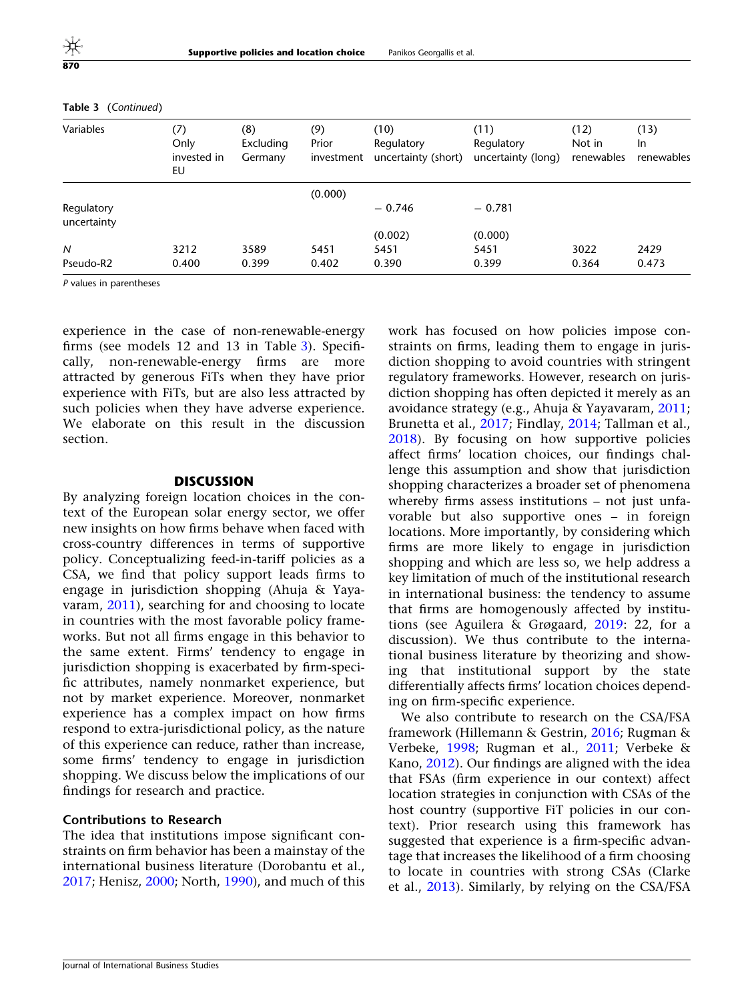| Variables                 | (7)<br>Only<br>invested in<br>EU | (8)<br>Excluding<br>Germany | (9)<br>Prior<br>investment | (10)<br>Regulatory<br>uncertainty (short) | (11)<br>Regulatory<br>uncertainty (long) | (12)<br>Not in<br>renewables | (13)<br>In.<br>renewables |
|---------------------------|----------------------------------|-----------------------------|----------------------------|-------------------------------------------|------------------------------------------|------------------------------|---------------------------|
|                           |                                  |                             | (0.000)                    |                                           |                                          |                              |                           |
| Regulatory<br>uncertainty |                                  |                             |                            | $-0.746$                                  | $-0.781$                                 |                              |                           |
|                           |                                  |                             |                            | (0.002)                                   | (0.000)                                  |                              |                           |
| N                         | 3212                             | 3589                        | 5451                       | 5451                                      | 5451                                     | 3022                         | 2429                      |
| Pseudo-R2                 | 0.400                            | 0.399                       | 0.402                      | 0.390                                     | 0.399                                    | 0.364                        | 0.473                     |

#### Table 3 (Continued)

P values in parentheses

experience in the case of non-renewable-energy firms (see models 12 and 13 in Table [3](#page-17-0)). Specifically, non-renewable-energy firms are more attracted by generous FiTs when they have prior experience with FiTs, but are also less attracted by such policies when they have adverse experience. We elaborate on this result in the discussion section.

#### **DISCUSSION**

By analyzing foreign location choices in the context of the European solar energy sector, we offer new insights on how firms behave when faced with cross-country differences in terms of supportive policy. Conceptualizing feed-in-tariff policies as a CSA, we find that policy support leads firms to engage in jurisdiction shopping (Ahuja & Yayavaram, [2011\)](#page-22-0), searching for and choosing to locate in countries with the most favorable policy frameworks. But not all firms engage in this behavior to the same extent. Firms' tendency to engage in jurisdiction shopping is exacerbated by firm-specific attributes, namely nonmarket experience, but not by market experience. Moreover, nonmarket experience has a complex impact on how firms respond to extra-jurisdictional policy, as the nature of this experience can reduce, rather than increase, some firms' tendency to engage in jurisdiction shopping. We discuss below the implications of our findings for research and practice.

#### Contributions to Research

The idea that institutions impose significant constraints on firm behavior has been a mainstay of the international business literature (Dorobantu et al., [2017;](#page-23-0) Henisz, [2000;](#page-23-0) North, [1990\)](#page-24-0), and much of this work has focused on how policies impose constraints on firms, leading them to engage in jurisdiction shopping to avoid countries with stringent regulatory frameworks. However, research on jurisdiction shopping has often depicted it merely as an avoidance strategy (e.g., Ahuja & Yayavaram, [2011;](#page-22-0) Brunetta et al., [2017](#page-22-0); Findlay, [2014;](#page-23-0) Tallman et al., [2018\)](#page-25-0). By focusing on how supportive policies affect firms' location choices, our findings challenge this assumption and show that jurisdiction shopping characterizes a broader set of phenomena whereby firms assess institutions - not just unfavorable but also supportive ones – in foreign locations. More importantly, by considering which firms are more likely to engage in jurisdiction shopping and which are less so, we help address a key limitation of much of the institutional research in international business: the tendency to assume that firms are homogenously affected by institutions (see Aguilera & Grøgaard, [2019:](#page-22-0) 22, for a discussion). We thus contribute to the international business literature by theorizing and showing that institutional support by the state differentially affects firms' location choices depending on firm-specific experience.

We also contribute to research on the CSA/FSA framework (Hillemann & Gestrin, [2016;](#page-23-0) Rugman & Verbeke, [1998;](#page-24-0) Rugman et al., [2011;](#page-24-0) Verbeke & Kano, [2012\)](#page-25-0). Our findings are aligned with the idea that FSAs (firm experience in our context) affect location strategies in conjunction with CSAs of the host country (supportive FiT policies in our context). Prior research using this framework has suggested that experience is a firm-specific advantage that increases the likelihood of a firm choosing to locate in countries with strong CSAs (Clarke et al., [2013](#page-23-0)). Similarly, by relying on the CSA/FSA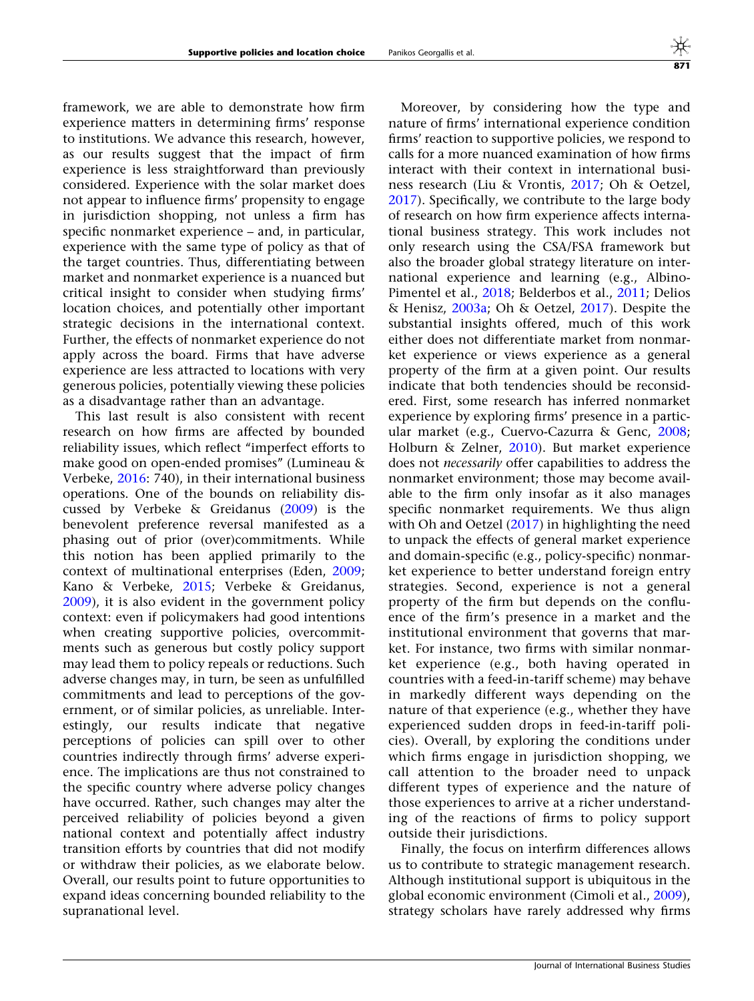framework, we are able to demonstrate how firm experience matters in determining firms' response to institutions. We advance this research, however, as our results suggest that the impact of firm experience is less straightforward than previously considered. Experience with the solar market does not appear to influence firms' propensity to engage in jurisdiction shopping, not unless a firm has specific nonmarket experience – and, in particular, experience with the same type of policy as that of the target countries. Thus, differentiating between market and nonmarket experience is a nuanced but critical insight to consider when studying firms' location choices, and potentially other important strategic decisions in the international context. Further, the effects of nonmarket experience do not apply across the board. Firms that have adverse experience are less attracted to locations with very generous policies, potentially viewing these policies as a disadvantage rather than an advantage.

This last result is also consistent with recent research on how firms are affected by bounded reliability issues, which reflect "imperfect efforts to make good on open-ended promises'' (Lumineau & Verbeke, [2016:](#page-24-0) 740), in their international business operations. One of the bounds on reliability discussed by Verbeke & Greidanus ([2009\)](#page-25-0) is the benevolent preference reversal manifested as a phasing out of prior (over)commitments. While this notion has been applied primarily to the context of multinational enterprises (Eden, [2009;](#page-23-0) Kano & Verbeke, [2015](#page-24-0); Verbeke & Greidanus, [2009\)](#page-25-0), it is also evident in the government policy context: even if policymakers had good intentions when creating supportive policies, overcommitments such as generous but costly policy support may lead them to policy repeals or reductions. Such adverse changes may, in turn, be seen as unfulfilled commitments and lead to perceptions of the government, or of similar policies, as unreliable. Interestingly, our results indicate that negative perceptions of policies can spill over to other countries indirectly through firms' adverse experience. The implications are thus not constrained to the specific country where adverse policy changes have occurred. Rather, such changes may alter the perceived reliability of policies beyond a given national context and potentially affect industry transition efforts by countries that did not modify or withdraw their policies, as we elaborate below. Overall, our results point to future opportunities to expand ideas concerning bounded reliability to the supranational level.

Moreover, by considering how the type and nature of firms' international experience condition firms' reaction to supportive policies, we respond to calls for a more nuanced examination of how firms interact with their context in international business research (Liu & Vrontis, [2017](#page-24-0); Oh & Oetzel, [2017\)](#page-24-0). Specifically, we contribute to the large body of research on how firm experience affects international business strategy. This work includes not only research using the CSA/FSA framework but also the broader global strategy literature on international experience and learning (e.g., Albino-Pimentel et al., [2018;](#page-22-0) Belderbos et al., [2011](#page-22-0); Delios & Henisz, [2003a;](#page-23-0) Oh & Oetzel, [2017](#page-24-0)). Despite the substantial insights offered, much of this work either does not differentiate market from nonmarket experience or views experience as a general property of the firm at a given point. Our results indicate that both tendencies should be reconsidered. First, some research has inferred nonmarket experience by exploring firms' presence in a particular market (e.g., Cuervo-Cazurra & Genc, [2008;](#page-23-0) Holburn & Zelner, [2010](#page-23-0)). But market experience does not necessarily offer capabilities to address the nonmarket environment; those may become available to the firm only insofar as it also manages specific nonmarket requirements. We thus align with Oh and Oetzel [\(2017](#page-24-0)) in highlighting the need to unpack the effects of general market experience and domain-specific (e.g., policy-specific) nonmarket experience to better understand foreign entry strategies. Second, experience is not a general property of the firm but depends on the confluence of the firm's presence in a market and the institutional environment that governs that market. For instance, two firms with similar nonmarket experience (e.g., both having operated in countries with a feed-in-tariff scheme) may behave in markedly different ways depending on the nature of that experience (e.g., whether they have experienced sudden drops in feed-in-tariff policies). Overall, by exploring the conditions under which firms engage in jurisdiction shopping, we call attention to the broader need to unpack different types of experience and the nature of those experiences to arrive at a richer understanding of the reactions of firms to policy support outside their jurisdictions.

Finally, the focus on interfirm differences allows us to contribute to strategic management research. Although institutional support is ubiquitous in the global economic environment (Cimoli et al., [2009](#page-23-0)), strategy scholars have rarely addressed why firms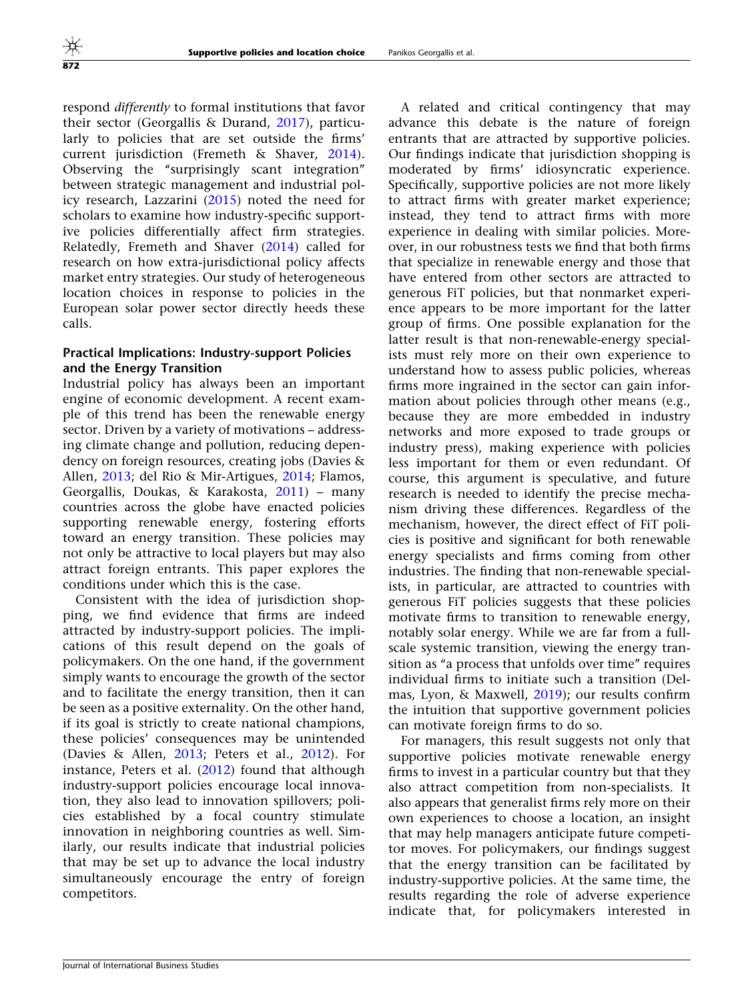respond differently to formal institutions that favor their sector (Georgallis & Durand, [2017](#page-23-0)), particularly to policies that are set outside the firms' current jurisdiction (Fremeth & Shaver, [2014\)](#page-23-0). Observing the ''surprisingly scant integration'' between strategic management and industrial policy research, Lazzarini [\(2015](#page-24-0)) noted the need for scholars to examine how industry-specific supportive policies differentially affect firm strategies. Relatedly, Fremeth and Shaver ([2014\)](#page-23-0) called for research on how extra-jurisdictional policy affects market entry strategies. Our study of heterogeneous location choices in response to policies in the European solar power sector directly heeds these calls.

#### Practical Implications: Industry-support Policies and the Energy Transition

Industrial policy has always been an important engine of economic development. A recent example of this trend has been the renewable energy sector. Driven by a variety of motivations – addressing climate change and pollution, reducing dependency on foreign resources, creating jobs (Davies & Allen, [2013;](#page-23-0) del Rio & Mir-Artigues, [2014](#page-23-0); Flamos, Georgallis, Doukas, & Karakosta, [2011\)](#page-23-0) – many countries across the globe have enacted policies supporting renewable energy, fostering efforts toward an energy transition. These policies may not only be attractive to local players but may also attract foreign entrants. This paper explores the conditions under which this is the case.

Consistent with the idea of jurisdiction shopping, we find evidence that firms are indeed attracted by industry-support policies. The implications of this result depend on the goals of policymakers. On the one hand, if the government simply wants to encourage the growth of the sector and to facilitate the energy transition, then it can be seen as a positive externality. On the other hand, if its goal is strictly to create national champions, these policies' consequences may be unintended (Davies & Allen, [2013;](#page-23-0) Peters et al., [2012\)](#page-24-0). For instance, Peters et al.  $(2012)$  $(2012)$  found that although industry-support policies encourage local innovation, they also lead to innovation spillovers; policies established by a focal country stimulate innovation in neighboring countries as well. Similarly, our results indicate that industrial policies that may be set up to advance the local industry simultaneously encourage the entry of foreign competitors.

A related and critical contingency that may advance this debate is the nature of foreign entrants that are attracted by supportive policies. Our findings indicate that jurisdiction shopping is moderated by firms' idiosyncratic experience. Specifically, supportive policies are not more likely to attract firms with greater market experience; instead, they tend to attract firms with more experience in dealing with similar policies. Moreover, in our robustness tests we find that both firms that specialize in renewable energy and those that have entered from other sectors are attracted to generous FiT policies, but that nonmarket experience appears to be more important for the latter group of firms. One possible explanation for the latter result is that non-renewable-energy specialists must rely more on their own experience to understand how to assess public policies, whereas firms more ingrained in the sector can gain information about policies through other means (e.g., because they are more embedded in industry networks and more exposed to trade groups or industry press), making experience with policies less important for them or even redundant. Of course, this argument is speculative, and future research is needed to identify the precise mechanism driving these differences. Regardless of the mechanism, however, the direct effect of FiT policies is positive and significant for both renewable energy specialists and firms coming from other industries. The finding that non-renewable specialists, in particular, are attracted to countries with generous FiT policies suggests that these policies motivate firms to transition to renewable energy, notably solar energy. While we are far from a fullscale systemic transition, viewing the energy transition as "a process that unfolds over time" requires individual firms to initiate such a transition (Delmas, Lyon, & Maxwell, [2019](#page-23-0)); our results confirm the intuition that supportive government policies can motivate foreign firms to do so.

For managers, this result suggests not only that supportive policies motivate renewable energy firms to invest in a particular country but that they also attract competition from non-specialists. It also appears that generalist firms rely more on their own experiences to choose a location, an insight that may help managers anticipate future competitor moves. For policymakers, our findings suggest that the energy transition can be facilitated by industry-supportive policies. At the same time, the results regarding the role of adverse experience indicate that, for policymakers interested in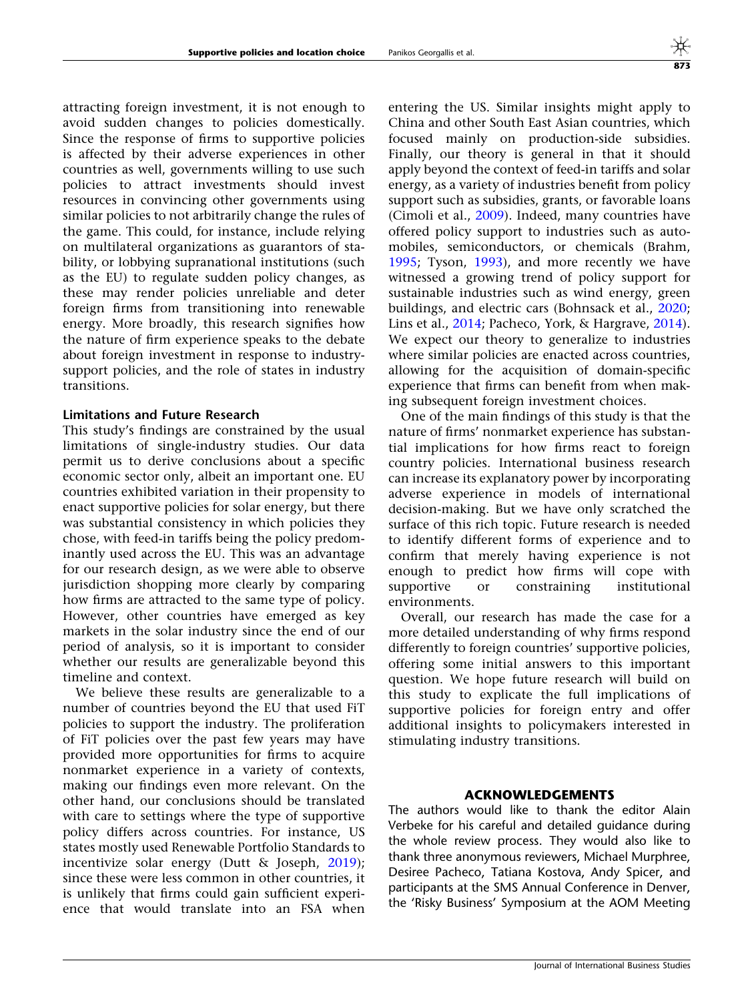attracting foreign investment, it is not enough to avoid sudden changes to policies domestically. Since the response of firms to supportive policies is affected by their adverse experiences in other countries as well, governments willing to use such policies to attract investments should invest resources in convincing other governments using similar policies to not arbitrarily change the rules of the game. This could, for instance, include relying on multilateral organizations as guarantors of stability, or lobbying supranational institutions (such as the EU) to regulate sudden policy changes, as these may render policies unreliable and deter foreign firms from transitioning into renewable energy. More broadly, this research signifies how the nature of firm experience speaks to the debate about foreign investment in response to industrysupport policies, and the role of states in industry transitions.

#### Limitations and Future Research

This study's findings are constrained by the usual limitations of single-industry studies. Our data permit us to derive conclusions about a specific economic sector only, albeit an important one. EU countries exhibited variation in their propensity to enact supportive policies for solar energy, but there was substantial consistency in which policies they chose, with feed-in tariffs being the policy predominantly used across the EU. This was an advantage for our research design, as we were able to observe jurisdiction shopping more clearly by comparing how firms are attracted to the same type of policy. However, other countries have emerged as key markets in the solar industry since the end of our period of analysis, so it is important to consider whether our results are generalizable beyond this timeline and context.

We believe these results are generalizable to a number of countries beyond the EU that used FiT policies to support the industry. The proliferation of FiT policies over the past few years may have provided more opportunities for firms to acquire nonmarket experience in a variety of contexts, making our findings even more relevant. On the other hand, our conclusions should be translated with care to settings where the type of supportive policy differs across countries. For instance, US states mostly used Renewable Portfolio Standards to incentivize solar energy (Dutt & Joseph, [2019\)](#page-23-0); since these were less common in other countries, it is unlikely that firms could gain sufficient experience that would translate into an FSA when

entering the US. Similar insights might apply to China and other South East Asian countries, which focused mainly on production-side subsidies. Finally, our theory is general in that it should apply beyond the context of feed-in tariffs and solar energy, as a variety of industries benefit from policy support such as subsidies, grants, or favorable loans (Cimoli et al., [2009](#page-23-0)). Indeed, many countries have offered policy support to industries such as automobiles, semiconductors, or chemicals (Brahm, [1995;](#page-22-0) Tyson, [1993](#page-25-0)), and more recently we have witnessed a growing trend of policy support for sustainable industries such as wind energy, green buildings, and electric cars (Bohnsack et al., [2020;](#page-22-0) Lins et al., [2014;](#page-24-0) Pacheco, York, & Hargrave, [2014](#page-24-0)). We expect our theory to generalize to industries where similar policies are enacted across countries, allowing for the acquisition of domain-specific experience that firms can benefit from when making subsequent foreign investment choices.

One of the main findings of this study is that the nature of firms' nonmarket experience has substantial implications for how firms react to foreign country policies. International business research can increase its explanatory power by incorporating adverse experience in models of international decision-making. But we have only scratched the surface of this rich topic. Future research is needed to identify different forms of experience and to confirm that merely having experience is not enough to predict how firms will cope with supportive or constraining institutional environments.

Overall, our research has made the case for a more detailed understanding of why firms respond differently to foreign countries' supportive policies, offering some initial answers to this important question. We hope future research will build on this study to explicate the full implications of supportive policies for foreign entry and offer additional insights to policymakers interested in stimulating industry transitions.

#### ACKNOWLEDGEMENTS

The authors would like to thank the editor Alain Verbeke for his careful and detailed guidance during the whole review process. They would also like to thank three anonymous reviewers, Michael Murphree, Desiree Pacheco, Tatiana Kostova, Andy Spicer, and participants at the SMS Annual Conference in Denver, the 'Risky Business' Symposium at the AOM Meeting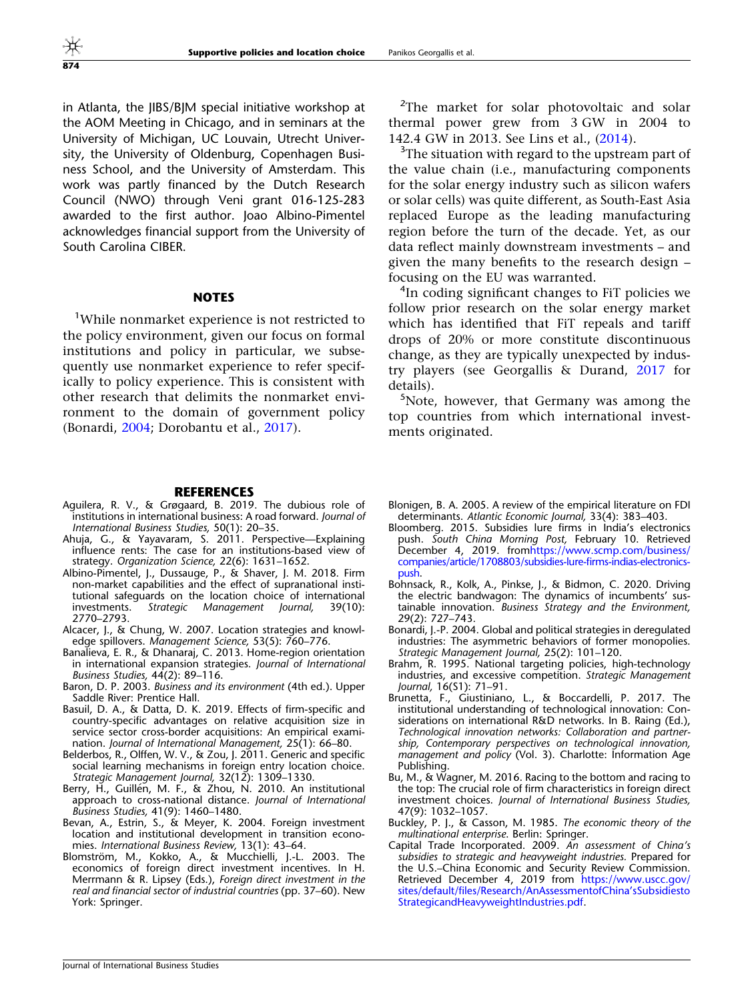<span id="page-22-0"></span>in Atlanta, the JIBS/BJM special initiative workshop at the AOM Meeting in Chicago, and in seminars at the University of Michigan, UC Louvain, Utrecht University, the University of Oldenburg, Copenhagen Business School, and the University of Amsterdam. This work was partly financed by the Dutch Research Council (NWO) through Veni grant 016-125-283 awarded to the first author. Joao Albino-Pimentel acknowledges financial support from the University of South Carolina CIBER.

#### **NOTES**

<sup>1</sup>While nonmarket experience is not restricted to the policy environment, given our focus on formal institutions and policy in particular, we subsequently use nonmarket experience to refer specifically to policy experience. This is consistent with other research that delimits the nonmarket environment to the domain of government policy (Bonardi, 2004; Dorobantu et al., [2017\)](#page-23-0).

<sup>2</sup>The market for solar photovoltaic and solar thermal power grew from 3 GW in 2004 to 142.4 GW in 2013. See Lins et al., ([2014\)](#page-24-0).

<sup>3</sup>The situation with regard to the upstream part of the value chain (i.e., manufacturing components for the solar energy industry such as silicon wafers or solar cells) was quite different, as South-East Asia replaced Europe as the leading manufacturing region before the turn of the decade. Yet, as our data reflect mainly downstream investments – and given the many benefits to the research design – focusing on the EU was warranted.

<sup>4</sup>In coding significant changes to FiT policies we follow prior research on the solar energy market which has identified that FiT repeals and tariff drops of 20% or more constitute discontinuous change, as they are typically unexpected by industry players (see Georgallis & Durand, [2017](#page-23-0) for details).

<sup>5</sup>Note, however, that Germany was among the top countries from which international investments originated.

#### **REFERENCES**

- Aguilera, R. V., & Grøgaard, B. 2019. The dubious role of institutions in international business: A road forward. Journal of International Business Studies, 50(1): 20–35.
- Ahuja, G., & Yayavaram, S. 2011. Perspective—Explaining influence rents: The case for an institutions-based view of strategy. Organization Science, 22(6): 1631–1652.
- Albino-Pimentel, J., Dussauge, P., & Shaver, J. M. 2018. Firm non-market capabilities and the effect of supranational institutional safeguards on the location choice of international investments. Strategic Management Journal, 39(10): Strategic Management Journal, 39(10): 2770–2793.
- Alcacer, J., & Chung, W. 2007. Location strategies and knowledge spillovers. Management Science, 53(5): 760–776.
- Banalieva, E. R., & Dhanaraj, C. 2013. Home-region orientation in international expansion strategies. Journal of International Business Studies, 44(2): 89–116.
- Baron, D. P. 2003. Business and its environment (4th ed.). Upper Saddle River: Prentice Hall.
- Basuil, D. A., & Datta, D. K. 2019. Effects of firm-specific and country-specific advantages on relative acquisition size in service sector cross-border acquisitions: An empirical examination. Journal of International Management, 25(1): 66–80.
- Belderbos, R., Olffen, W. V., & Zou, J. 2011. Generic and specific social learning mechanisms in foreign entry location choice. Strategic Management Journal,  $32(12)$ : 1309-1330.
- Berry, H., Guillén, M. F., & Zhou, N. 2010. An institutional approach to cross-national distance. Journal of International Business Studies, 41(9): 1460–1480.
- Bevan, A., Estrin, S., & Meyer, K. 2004. Foreign investment location and institutional development in transition economies. International Business Review, 13(1): 43–64.
- Blomström, M., Kokko, A., & Mucchielli, J.-L. 2003. The economics of foreign direct investment incentives. In H. Merrmann & R. Lipsey (Eds.), Foreign direct investment in the real and financial sector of industrial countries (pp. 37–60). New York: Springer.
- Blonigen, B. A. 2005. A review of the empirical literature on FDI determinants. Atlantic Economic Journal, 33(4): 383–403.
- Bloomberg. 2015. Subsidies lure firms in India's electronics push. South China Morning Post, February 10. Retrieved December 4, 2019. from[https://www.scmp.com/business/](https://www.scmp.com/business/companies/article/1708803/subsidies-lure-firms-indias-electronics-push) [companies/article/1708803/subsidies-lure-firms-indias-electronics](https://www.scmp.com/business/companies/article/1708803/subsidies-lure-firms-indias-electronics-push)[push](https://www.scmp.com/business/companies/article/1708803/subsidies-lure-firms-indias-electronics-push).
- Bohnsack, R., Kolk, A., Pinkse, J., & Bidmon, C. 2020. Driving the electric bandwagon: The dynamics of incumbents' sustainable innovation. Business Strategy and the Environment, 29(2): 727–743.
- Bonardi, J.-P. 2004. Global and political strategies in deregulated industries: The asymmetric behaviors of former monopolies. Strategic Management Journal, 25(2): 101–120.
- Brahm, R. 1995. National targeting policies, high-technology industries, and excessive competition. Strategic Management Journal, 16(S1): 71–91.
- Brunetta, F., Giustiniano, L., & Boccardelli, P. 2017. The institutional understanding of technological innovation: Considerations on international R&D networks. In B. Raing (Ed.), Technological innovation networks: Collaboration and partnership, Contemporary perspectives on technological innovation, management and policy (Vol. 3). Charlotte: Information Age Publishing.
- Bu, M., & Wagner, M. 2016. Racing to the bottom and racing to the top: The crucial role of firm characteristics in foreign direct investment choices. Journal of International Business Studies, 47(9): 1032–1057.
- Buckley, P. J., & Casson, M. 1985. The economic theory of the multinational enterprise. Berlin: Springer.
- Capital Trade Incorporated. 2009. An assessment of China's subsidies to strategic and heavyweight industries. Prepared for the U.S.–China Economic and Security Review Commission. Retrieved December 4, 2019 from [https://www.uscc.gov/](https://www.uscc.gov/sites/default/files/Research/AnAssessmentofChina%e2%80%99sSubsidiestoStrategicandHeavyweightIndustries.pdf) [sites/default/files/Research/AnAssessmentofChina'sSubsidiesto](https://www.uscc.gov/sites/default/files/Research/AnAssessmentofChina%e2%80%99sSubsidiestoStrategicandHeavyweightIndustries.pdf) [StrategicandHeavyweightIndustries.pdf.](https://www.uscc.gov/sites/default/files/Research/AnAssessmentofChina%e2%80%99sSubsidiestoStrategicandHeavyweightIndustries.pdf)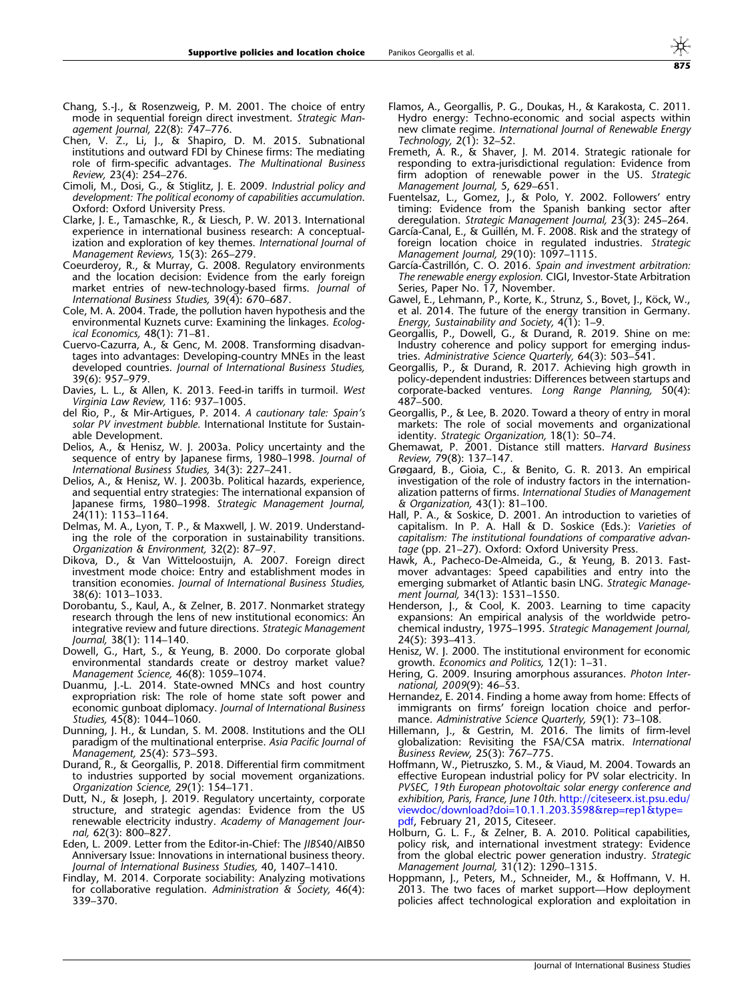- <span id="page-23-0"></span>Chang, S.-J., & Rosenzweig, P. M. 2001. The choice of entry mode in sequential foreign direct investment. Strategic Management Journal, 22(8): 747–776.
- Chen, V. Z., Li, J., & Shapiro, D. M. 2015. Subnational institutions and outward FDI by Chinese firms: The mediating role of firm-specific advantages. The Multinational Business Review, 23(4): 254–276.
- Cimoli, M., Dosi, G., & Stiglitz, J. E. 2009. Industrial policy and development: The political economy of capabilities accumulation. Oxford: Oxford University Press.
- Clarke, J. E., Tamaschke, R., & Liesch, P. W. 2013. International experience in international business research: A conceptualization and exploration of key themes. International Journal of Management Reviews, 15(3): 265–279.
- Coeurderoy, R., & Murray, G. 2008. Regulatory environments and the location decision: Evidence from the early foreign market entries of new-technology-based firms. Journal of International Business Studies, 39(4): 670–687.
- Cole, M. A. 2004. Trade, the pollution haven hypothesis and the environmental Kuznets curve: Examining the linkages. Ecological Economics, 48(1): 71–81.
- Cuervo-Cazurra, A., & Genc, M. 2008. Transforming disadvantages into advantages: Developing-country MNEs in the least developed countries. Journal of International Business Studies, 39(6): 957–979.
- Davies, L. L., & Allen, K. 2013. Feed-in tariffs in turmoil. West Virginia Law Review, 116: 937–1005.
- del Rio, P., & Mir-Artigues, P. 2014. A cautionary tale: Spain's solar PV investment bubble. International Institute for Sustainable Development.
- Delios, A., & Henisz, W. J. 2003a. Policy uncertainty and the sequence of entry by Japanese firms, 1980–1998. Journal of International Business Studies, 34(3): 227–241.
- Delios, A., & Henisz, W. J. 2003b. Political hazards, experience, and sequential entry strategies: The international expansion of Japanese firms, 1980–1998. Strategic Management Journal, 24(11): 1153–1164.
- Delmas, M. A., Lyon, T. P., & Maxwell, J. W. 2019. Understanding the role of the corporation in sustainability transitions. Organization & Environment, 32(2): 87–97.
- Dikova, D., & Van Witteloostuijn, A. 2007. Foreign direct investment mode choice: Entry and establishment modes in transition economies. Journal of International Business Studies, 38(6): 1013–1033.
- Dorobantu, S., Kaul, A., & Zelner, B. 2017. Nonmarket strategy research through the lens of new institutional economics: An integrative review and future directions. Strategic Management Journal, 38(1): 114–140.
- Dowell, G., Hart, S., & Yeung, B. 2000. Do corporate global environmental standards create or destroy market value? Management Science, 46(8): 1059–1074.
- Duanmu, J.-L. 2014. State-owned MNCs and host country expropriation risk: The role of home state soft power and economic gunboat diplomacy. Journal of International Business Studies, 45(8): 1044–1060.
- Dunning, J. H., & Lundan, S. M. 2008. Institutions and the OLI paradigm of the multinational enterprise. Asia Pacific Journal of Management, 25(4): 573–593.
- Durand, R., & Georgallis, P. 2018. Differential firm commitment to industries supported by social movement organizations. Organization Science, 29(1): 154–171.
- Dutt, N., & Joseph, J. 2019. Regulatory uncertainty, corporate structure, and strategic agendas: Evidence from the US renewable electricity industry. Academy of Management Journal, 62(3): 800–827.
- Eden, L. 2009. Letter from the Editor-in-Chief: The JIBS40/AIB50 Anniversary Issue: Innovations in international business theory. Journal of International Business Studies, 40, 1407–1410.
- Findlay, M. 2014. Corporate sociability: Analyzing motivations for collaborative regulation. Administration & Society, 46(4): 339–370.
- Flamos, A., Georgallis, P. G., Doukas, H., & Karakosta, C. 2011. Hydro energy: Techno-economic and social aspects within new climate regime. International Journal of Renewable Energy Technology, 2(1): 32–52.
- Fremeth, A. R., & Shaver, J. M. 2014. Strategic rationale for responding to extra-jurisdictional regulation: Evidence from firm adoption of renewable power in the US. Strategic Management Journal, 5, 629–651.
- Fuentelsaz, L., Gomez, J., & Polo, Y. 2002. Followers' entry timing: Evidence from the Spanish banking sector after deregulation. Strategic Management Journal, 23(3): 245–264.
- García-Canal, E., & Guillén, M. F. 2008. Risk and the strategy of foreign location choice in regulated industries. Strategic Management Journal, 29(10): 1097–1115.
- García-Castrillón, C. O. 2016. Spain and investment arbitration: The renewable energy explosion. CIGI, Investor-State Arbitration Series, Paper No. 17, November.
- Gawel, E., Lehmann, P., Korte, K., Strunz, S., Bovet, J., Köck, W., et al. 2014. The future of the energy transition in Germany. Energy, Sustainability and Society,  $4(1)$ : 1-9.
- Georgallis, P., Dowell, G., & Durand, R. 2019. Shine on me: Industry coherence and policy support for emerging industries. Administrative Science Quarterly, 64(3): 503–541.
- Georgallis, P., & Durand, R. 2017. Achieving high growth in policy-dependent industries: Differences between startups and corporate-backed ventures. Long Range Planning, 50(4): 487–500.
- Georgallis, P., & Lee, B. 2020. Toward a theory of entry in moral markets: The role of social movements and organizational identity. Strategic Organization, 18(1): 50–74.
- Ghemawat, P. 2001. Distance still matters. Harvard Business Review, 79(8): 137–147.
- Grøgaard, B., Gioia, C., & Benito, G. R. 2013. An empirical investigation of the role of industry factors in the internationalization patterns of firms. International Studies of Management & Organization, 43(1): 81–100.
- Hall, P. A., & Soskice, D. 2001. An introduction to varieties of capitalism. In P. A. Hall & D. Soskice (Eds.): Varieties of capitalism: The institutional foundations of comparative advantage (pp. 21–27). Oxford: Oxford University Press.
- Hawk, A., Pacheco-De-Almeida, G., & Yeung, B. 2013. Fastmover advantages: Speed capabilities and entry into the emerging submarket of Atlantic basin LNG. Strategic Management Journal, 34(13): 1531–1550.
- Henderson, J., & Cool, K. 2003. Learning to time capacity expansions: An empirical analysis of the worldwide petrochemical industry, 1975–1995. Strategic Management Journal, 24(5): 393–413.
- Henisz, W. J. 2000. The institutional environment for economic growth. Economics and Politics, 12(1): 1–31.
- Hering, G. 2009. Insuring amorphous assurances. Photon International, 2009(9): 46–53.
- Hernandez, E. 2014. Finding a home away from home: Effects of immigrants on firms' foreign location choice and performance. Administrative Science Quarterly, 59(1): 73-108.
- Hillemann, J., & Gestrin, M. 2016. The limits of firm-level globalization: Revisiting the FSA/CSA matrix. International Business Review, 25(3): 767–775.
- Hoffmann, W., Pietruszko, S. M., & Viaud, M. 2004. Towards an effective European industrial policy for PV solar electricity. In PVSEC, 19th European photovoltaic solar energy conference and exhibition, Paris, France, June 10th. [http://citeseerx.ist.psu.edu/](http://citeseerx.ist.psu.edu/viewdoc/download?doi=10.1.1.203.3598&rep=rep1&type=pdf) [viewdoc/download?doi=10.1.1.203.3598&rep=rep1&type=](http://citeseerx.ist.psu.edu/viewdoc/download?doi=10.1.1.203.3598&rep=rep1&type=pdf) [pdf,](http://citeseerx.ist.psu.edu/viewdoc/download?doi=10.1.1.203.3598&rep=rep1&type=pdf) February 21, 2015, Citeseer.
- Holburn, G. L. F., & Zelner, B. A. 2010. Political capabilities, policy risk, and international investment strategy: Evidence from the global electric power generation industry. Strategic Management Journal, 31(12): 1290–1315.
- Hoppmann, J., Peters, M., Schneider, M., & Hoffmann, V. H. 2013. The two faces of market support—How deployment policies affect technological exploration and exploitation in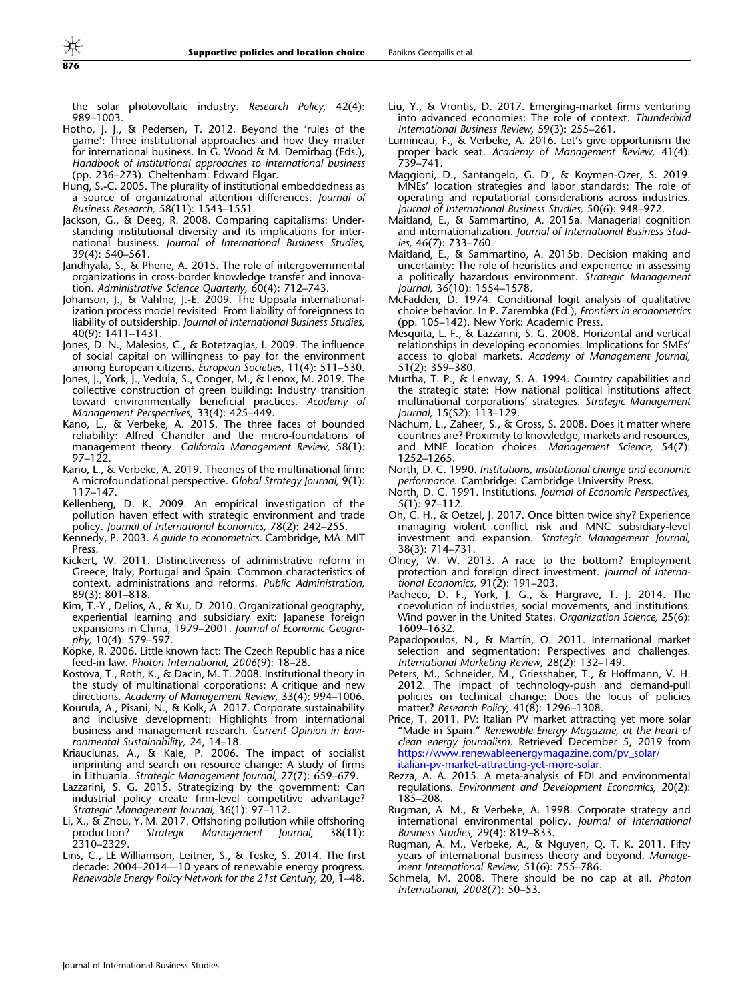<span id="page-24-0"></span>876

the solar photovoltaic industry. Research Policy, 42(4): 989–1003.

- Hotho, J. J., & Pedersen, T. 2012. Beyond the 'rules of the game': Three institutional approaches and how they matter for international business. In G. Wood & M. Demirbag (Eds.), Handbook of institutional approaches to international business (pp. 236–273). Cheltenham: Edward Elgar.
- Hung, S.-C. 2005. The plurality of institutional embeddedness as a source of organizational attention differences. Journal of Business Research, 58(11): 1543–1551.
- Jackson, G., & Deeg, R. 2008. Comparing capitalisms: Understanding institutional diversity and its implications for international business. Journal of International Business Studies, 39(4): 540–561.
- Jandhyala, S., & Phene, A. 2015. The role of intergovernmental organizations in cross-border knowledge transfer and innovation. Administrative Science Quarterly, 60(4): 712–743.
- Johanson, J., & Vahlne, J.-E. 2009. The Uppsala internationalization process model revisited: From liability of foreignness to liability of outsidership. Journal of International Business Studies, 40(9): 1411–1431.
- Jones, D. N., Malesios, C., & Botetzagias, I. 2009. The influence of social capital on willingness to pay for the environment among European citizens. European Societies, 11(4): 511–530.
- Jones, J., York, J., Vedula, S., Conger, M., & Lenox, M. 2019. The collective construction of green building: Industry transition toward environmentally beneficial practices. Academy of Management Perspectives, 33(4): 425–449.
- Kano, L., & Verbeke, A. 2015. The three faces of bounded reliability: Alfred Chandler and the micro-foundations of management theory. California Management Review, 58(1): 97–122.
- Kano, L., & Verbeke, A. 2019. Theories of the multinational firm: A microfoundational perspective. Global Strategy Journal, 9(1): 117–147.
- Kellenberg, D. K. 2009. An empirical investigation of the pollution haven effect with strategic environment and trade policy. Journal of International Economics, 78(2): 242–255.
- Kennedy, P. 2003. A guide to econometrics. Cambridge, MA: MIT Press.
- Kickert, W. 2011. Distinctiveness of administrative reform in Greece, Italy, Portugal and Spain: Common characteristics of context, administrations and reforms. Public Administration, 89(3): 801–818.
- Kim, T.-Y., Delios, A., & Xu, D. 2010. Organizational geography, experiential learning and subsidiary exit: Japanese foreign expansions in China, 1979–2001. Journal of Economic Geography, 10(4): 579–597.
- Köpke, R. 2006. Little known fact: The Czech Republic has a nice feed-in law. Photon International, 2006(9): 18–28.
- Kostova, T., Roth, K., & Dacin, M. T. 2008. Institutional theory in the study of multinational corporations: A critique and new directions. Academy of Management Review, 33(4): 994–1006.
- Kourula, A., Pisani, N., & Kolk, A. 2017. Corporate sustainability and inclusive development: Highlights from international business and management research. Current Opinion in Environmental Sustainability, 24, 14–18.
- Kriauciunas, A., & Kale, P. 2006. The impact of socialist imprinting and search on resource change: A study of firms in Lithuania. Strategic Management Journal, 27(7): 659–679.
- Lazzarini, S. G. 2015. Strategizing by the government: Can industrial policy create firm-level competitive advantage? Strategic Management Journal, 36(1): 97–112.
- Li, X., & Zhou, Y. M. 2017. Offshoring pollution while offshoring production? Strategic Management Journal, 38(11): Management Journal, 38(11): 2310–2329.
- Lins, C., LE Williamson, Leitner, S., & Teske, S. 2014. The first decade: 2004–2014—10 years of renewable energy progress. Renewable Energy Policy Network for the 21st Century, 20, 1–48.
- Liu, Y., & Vrontis, D. 2017. Emerging-market firms venturing into advanced economies: The role of context. Thunderbird International Business Review, 59(3): 255–261.
- Lumineau, F., & Verbeke, A. 2016. Let's give opportunism the proper back seat. Academy of Management Review, 41(4): 739–741.
- Maggioni, D., Santangelo, G. D., & Koymen-Ozer, S. 2019. MNEs' location strategies and labor standards: The role of operating and reputational considerations across industries. Journal of International Business Studies, 50(6): 948–972.
- Maitland, E., & Sammartino, A. 2015a. Managerial cognition and internationalization. Journal of International Business Studies, 46(7): 733–760.
- Maitland, E., & Sammartino, A. 2015b. Decision making and uncertainty: The role of heuristics and experience in assessing a politically hazardous environment. Strategic Management Journal, 36(10): 1554–1578.
- McFadden, D. 1974. Conditional logit analysis of qualitative choice behavior. In P. Zarembka (Ed.), Frontiers in econometrics (pp. 105–142). New York: Academic Press.
- Mesquita, L. F., & Lazzarini, S. G. 2008. Horizontal and vertical relationships in developing economies: Implications for SMEs' access to global markets. Academy of Management Journal, 51(2): 359–380.
- Murtha, T. P., & Lenway, S. A. 1994. Country capabilities and the strategic state: How national political institutions affect multinational corporations' strategies. Strategic Management Journal, 15(S2): 113–129.
- Nachum, L., Zaheer, S., & Gross, S. 2008. Does it matter where countries are? Proximity to knowledge, markets and resources, and MNE location choices. Management Science, 54(7): 1252–1265.
- North, D. C. 1990. Institutions, institutional change and economic performance. Cambridge: Cambridge University Press.
- North, D. C. 1991. Institutions. Journal of Economic Perspectives, 5(1): 97–112.
- Oh, C. H., & Oetzel, J. 2017. Once bitten twice shy? Experience managing violent conflict risk and MNC subsidiary-level investment and expansion. Strategic Management Journal, 38(3): 714–731.
- Olney, W. W. 2013. A race to the bottom? Employment protection and foreign direct investment. Journal of International Economics, 91(2): 191–203.
- Pacheco, D. F., York, J. G., & Hargrave, T. J. 2014. The coevolution of industries, social movements, and institutions: Wind power in the United States. Organization Science, 25(6): 1609–1632.
- Papadopoulos, N., & Martín, O. 2011. International market selection and segmentation: Perspectives and challenges. International Marketing Review, 28(2): 132–149.
- Peters, M., Schneider, M., Griesshaber, T., & Hoffmann, V. H. 2012. The impact of technology-push and demand-pull policies on technical change: Does the locus of policies matter? Research Policy, 41(8): 1296–1308.
- Price, T. 2011. PV: Italian PV market attracting yet more solar "Made in Spain." Renewable Energy Magazine, at the heart of clean energy journalism. Retrieved December 5, 2019 from [https://www.renewableenergymagazine.com/pv\\_solar/](https://www.renewableenergymagazine.com/pv_solar/italian-pv-market-attracting-yet-more-solar) [italian-pv-market-attracting-yet-more-solar.](https://www.renewableenergymagazine.com/pv_solar/italian-pv-market-attracting-yet-more-solar)
- Rezza, A. A. 2015. A meta-analysis of FDI and environmental regulations. Environment and Development Economics, 20(2): 185–208.
- Rugman, A. M., & Verbeke, A. 1998. Corporate strategy and international environmental policy. Journal of International Business Studies, 29(4): 819–833.
- Rugman, A. M., Verbeke, A., & Nguyen, Q. T. K. 2011. Fifty years of international business theory and beyond. Management International Review, 51(6): 755–786.
- Schmela, M. 2008. There should be no cap at all. Photon International, 2008(7): 50–53.